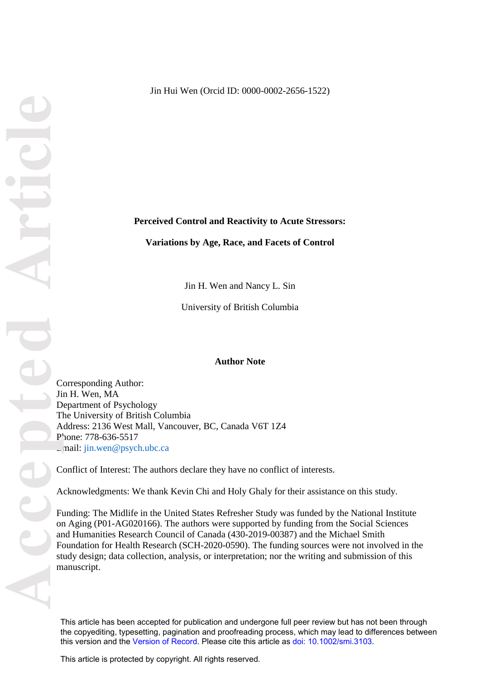## **Perceived Control and Reactivity to Acute Stressors:**

**Variations by Age, Race, and Facets of Control**

Jin H. Wen and Nancy L. Sin

University of British Columbia

#### **Author Note**

Corresponding Author: Jin H. Wen, MA Department of Psychology The University of British Columbia Address: 2136 West Mall, Vancouver, BC, Canada V6T 1Z4 Phone: 778-636-5517 Email: jin.wen@psych.ubc.ca

Conflict of Interest: The authors declare they have no conflict of interests.

Acknowledgments: We thank Kevin Chi and Holy Ghaly for their assistance on this study.

Funding: The Midlife in the United States Refresher Study was funded by the National Institute on Aging (P01-AG020166). The authors were supported by funding from the Social Sciences and Humanities Research Council of Canada (430-2019-00387) and the Michael Smith Foundation for Health Research (SCH-2020-0590). The funding sources were not involved in the study design; data collection, analysis, or interpretation; nor the writing and submission of this manuscript.

This article has been accepted for publication and undergone full peer review but has not been through the copyediting, typesetting, pagination and proofreading process, which may lead to differences between this version and the [Version of Record](https://doi.org/10.1002/smi.3103). Please cite this article as [doi: 10.1002/smi.3103](https://doi.org/10.1002/smi.3103).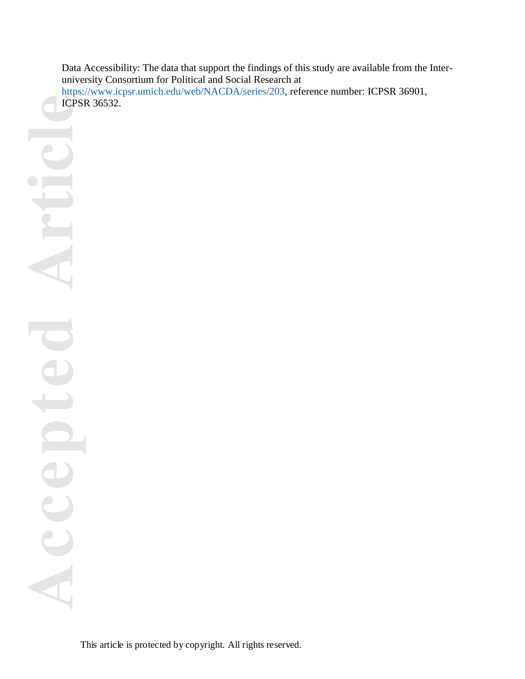Data Accessibility: The data that support the findings of this study are available from the Interuniversity Consortium for Political and Social Research at [https://www.icpsr.umich.edu/web/NACDA/series/203,](https://www.icpsr.umich.edu/web/NACDA/series/203) reference number: ICPSR 36901, ICPSR 36532.

**Accepted Article** U Acc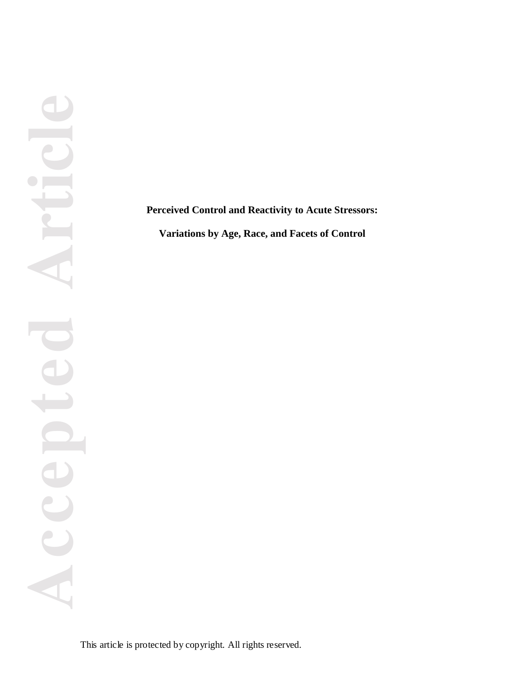**Perceived Control and Reactivity to Acute Stressors:**

**Variations by Age, Race, and Facets of Control**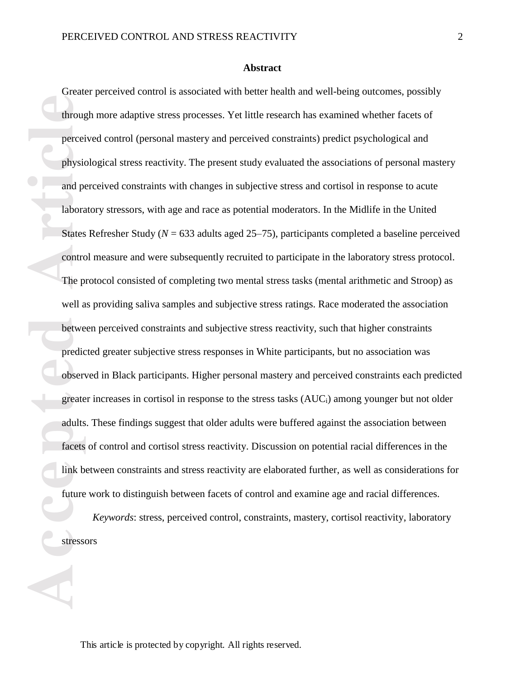#### **Abstract**

**Exercise States**<br> **Accepted Article**<br> **Accepted Article**<br> **Accepted Conducts**<br> **Accepted Conducts**<br> **Accepted Conducts**<br> **Accepted Accepts**<br> **Accepts**<br> **Accepts**<br> **Accepts**<br> **Accepts**<br> **Accepts**<br> **Accepts** Greater perceived control is associated with better health and well-being outcomes, possibly through more adaptive stress processes. Yet little research has examined whether facets of perceived control (personal mastery and perceived constraints) predict psychological and physiological stress reactivity. The present study evaluated the associations of personal mastery and perceived constraints with changes in subjective stress and cortisol in response to acute laboratory stressors, with age and race as potential moderators. In the Midlife in the United States Refresher Study (*N* = 633 adults aged 25–75), participants completed a baseline perceived control measure and were subsequently recruited to participate in the laboratory stress protocol. The protocol consisted of completing two mental stress tasks (mental arithmetic and Stroop) as well as providing saliva samples and subjective stress ratings. Race moderated the association between perceived constraints and subjective stress reactivity, such that higher constraints predicted greater subjective stress responses in White participants, but no association was observed in Black participants. Higher personal mastery and perceived constraints each predicted greater increases in cortisol in response to the stress tasks (AUCi) among younger but not older adults. These findings suggest that older adults were buffered against the association between facets of control and cortisol stress reactivity. Discussion on potential racial differences in the link between constraints and stress reactivity are elaborated further, as well as considerations for future work to distinguish between facets of control and examine age and racial differences.

*Keywords*: stress, perceived control, constraints, mastery, cortisol reactivity, laboratory stressors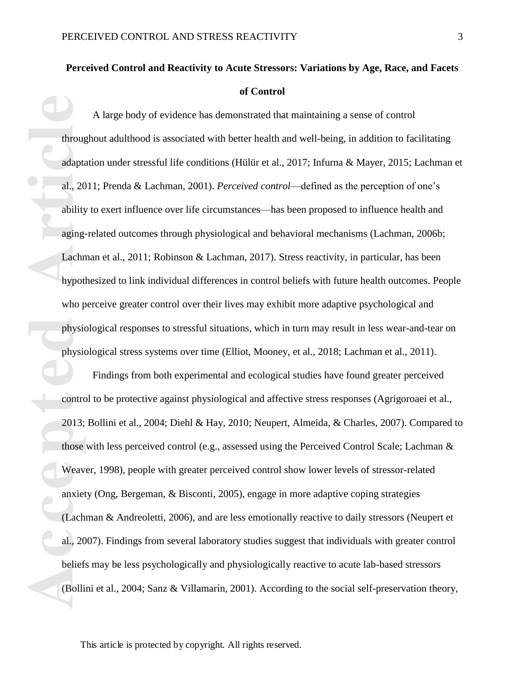# **Perceived Control and Reactivity to Acute Stressors: Variations by Age, Race, and Facets of Control**

**Example 12**<br> **Accept 12**<br> **Accept 12**<br> **Accept 12**<br> **Accept 12**<br> **Accept 12013;**<br> **Accept 12013;**<br> **Accept 12013;**<br> **Accept 12013;**<br> **Accept 12013;**<br> **Accept 12013;**<br> **Accept 12013;**<br> **Accept 12013;**<br> **Accept 12013;**<br> **Ac** A large body of evidence has demonstrated that maintaining a sense of control throughout adulthood is associated with better health and well-being, in addition to facilitating adaptation under stressful life conditions (Hülür et al., 2017; Infurna & Mayer, 2015; Lachman et al., 2011; Prenda & Lachman, 2001). *Perceived control*—defined as the perception of one's ability to exert influence over life circumstances—has been proposed to influence health and aging-related outcomes through physiological and behavioral mechanisms (Lachman, 2006b; Lachman et al., 2011; Robinson & Lachman, 2017). Stress reactivity, in particular, has been hypothesized to link individual differences in control beliefs with future health outcomes. People who perceive greater control over their lives may exhibit more adaptive psychological and physiological responses to stressful situations, which in turn may result in less wear-and-tear on physiological stress systems over time (Elliot, Mooney, et al., 2018; Lachman et al., 2011).

Findings from both experimental and ecological studies have found greater perceived control to be protective against physiological and affective stress responses (Agrigoroaei et al., 2013; Bollini et al., 2004; Diehl & Hay, 2010; Neupert, Almeida, & Charles, 2007). Compared to those with less perceived control (e.g., assessed using the Perceived Control Scale; Lachman  $\&$ Weaver, 1998), people with greater perceived control show lower levels of stressor-related anxiety (Ong, Bergeman, & Bisconti, 2005), engage in more adaptive coping strategies (Lachman & Andreoletti, 2006), and are less emotionally reactive to daily stressors (Neupert et al., 2007). Findings from several laboratory studies suggest that individuals with greater control beliefs may be less psychologically and physiologically reactive to acute lab-based stressors (Bollini et al., 2004; Sanz & Villamarı́n, 2001). According to the social self-preservation theory,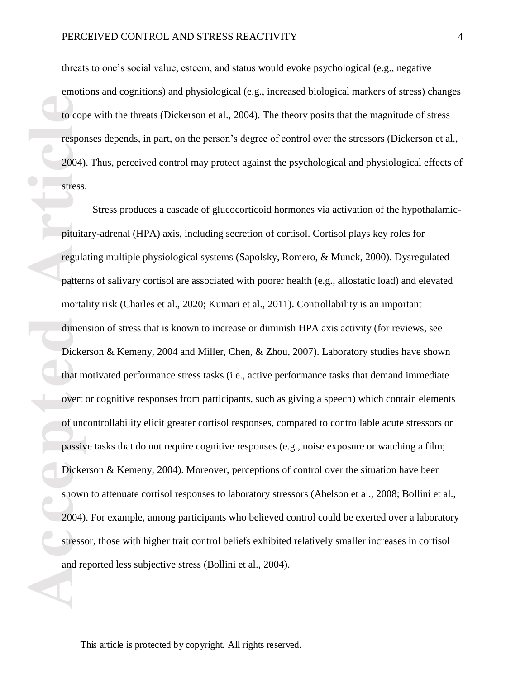threats to one's social value, esteem, and status would evoke psychological (e.g., negative emotions and cognitions) and physiological (e.g., increased biological markers of stress) changes to cope with the threats (Dickerson et al., 2004). The theory posits that the magnitude of stress responses depends, in part, on the person's degree of control over the stressors (Dickerson et al., 2004). Thus, perceived control may protect against the psychological and physiological effects of stress.

**Example 18**<br> **Accepted** 2004)<br> **Accepted** 2004)<br> **Accepted** 2004<br> **Accepted** 2004<br> **Accepted** 2004)<br> **Accepted** 2004)<br> **Accepted** 2004)<br> **Accepted** 2004)<br> **Accepted** 2004) Stress produces a cascade of glucocorticoid hormones via activation of the hypothalamicpituitary-adrenal (HPA) axis, including secretion of cortisol. Cortisol plays key roles for regulating multiple physiological systems (Sapolsky, Romero, & Munck, 2000). Dysregulated patterns of salivary cortisol are associated with poorer health (e.g., allostatic load) and elevated mortality risk (Charles et al., 2020; Kumari et al., 2011). Controllability is an important dimension of stress that is known to increase or diminish HPA axis activity (for reviews, see Dickerson & Kemeny, 2004 and Miller, Chen, & Zhou, 2007). Laboratory studies have shown that motivated performance stress tasks (i.e., active performance tasks that demand immediate overt or cognitive responses from participants, such as giving a speech) which contain elements of uncontrollability elicit greater cortisol responses, compared to controllable acute stressors or passive tasks that do not require cognitive responses (e.g., noise exposure or watching a film; Dickerson & Kemeny, 2004). Moreover, perceptions of control over the situation have been shown to attenuate cortisol responses to laboratory stressors (Abelson et al., 2008; Bollini et al., 2004). For example, among participants who believed control could be exerted over a laboratory stressor, those with higher trait control beliefs exhibited relatively smaller increases in cortisol and reported less subjective stress (Bollini et al., 2004).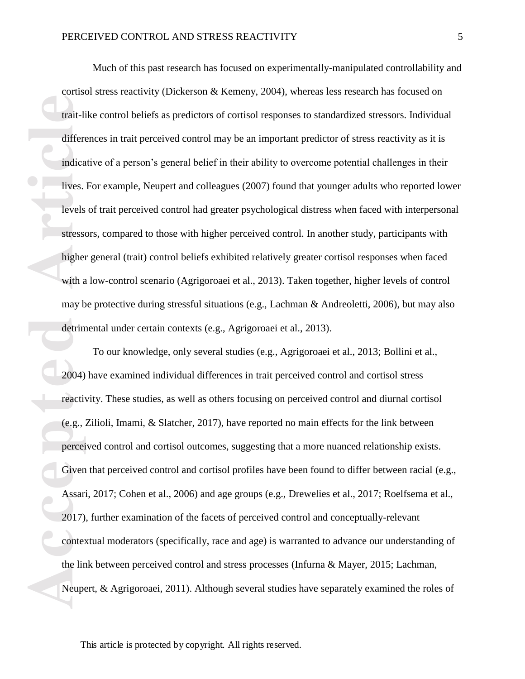Much of this past research has focused on experimentally-manipulated controllability and cortisol stress reactivity (Dickerson & Kemeny, 2004), whereas less research has focused on trait-like control beliefs as predictors of cortisol responses to standardized stressors. Individual differences in trait perceived control may be an important predictor of stress reactivity as it is indicative of a person's general belief in their ability to overcome potential challenges in their lives. For example, Neupert and colleagues (2007) found that younger adults who reported lower levels of trait perceived control had greater psychological distress when faced with interpersonal stressors, compared to those with higher perceived control. In another study, participants with higher general (trait) control beliefs exhibited relatively greater cortisol responses when faced with a low-control scenario (Agrigoroaei et al., 2013). Taken together, higher levels of control may be protective during stressful situations (e.g., Lachman & Andreoletti, 2006), but may also detrimental under certain contexts (e.g., Agrigoroaei et al., 2013).

**Access 4.4 Trait-life differentially**<br> **Access 4.4 Trait-life differentially stress**<br> **Access 4.4 Traiting here**<br> **Access 4.4 Traiting differentially detrim**<br> **Access 4.4 Percei**<br> **Access 4.4 Percei**<br> **Access 4.4 Percei**<br> To our knowledge, only several studies (e.g., Agrigoroaei et al., 2013; Bollini et al., 2004) have examined individual differences in trait perceived control and cortisol stress reactivity. These studies, as well as others focusing on perceived control and diurnal cortisol (e.g., Zilioli, Imami, & Slatcher, 2017), have reported no main effects for the link between perceived control and cortisol outcomes, suggesting that a more nuanced relationship exists. Given that perceived control and cortisol profiles have been found to differ between racial (e.g., Assari, 2017; Cohen et al., 2006) and age groups (e.g., Drewelies et al., 2017; Roelfsema et al., 2017), further examination of the facets of perceived control and conceptually-relevant contextual moderators (specifically, race and age) is warranted to advance our understanding of the link between perceived control and stress processes (Infurna & Mayer, 2015; Lachman, Neupert, & Agrigoroaei, 2011). Although several studies have separately examined the roles of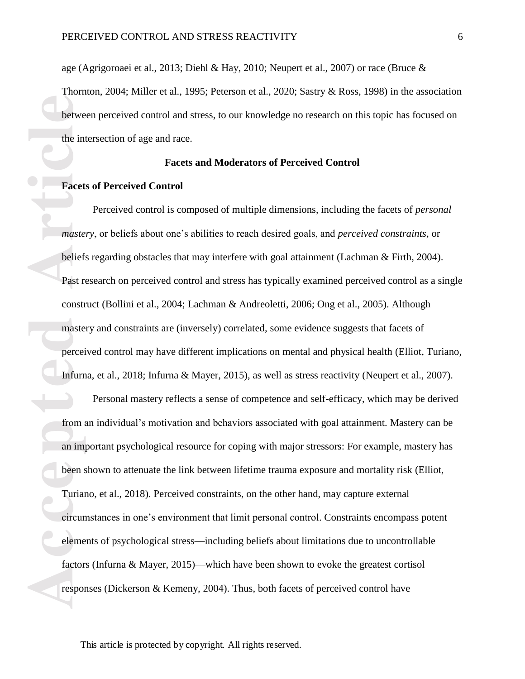age (Agrigoroaei et al., 2013; Diehl & Hay, 2010; Neupert et al., 2007) or race (Bruce & Thornton, 2004; Miller et al., 1995; Peterson et al., 2020; Sastry & Ross, 1998) in the association between perceived control and stress, to our knowledge no research on this topic has focused on the intersection of age and race.

#### **Facets and Moderators of Perceived Control**

## **Facets of Perceived Control**

Perceived control is composed of multiple dimensions, including the facets of *personal mastery*, or beliefs about one's abilities to reach desired goals, and *perceived constraints*, or beliefs regarding obstacles that may interfere with goal attainment (Lachman & Firth, 2004). Past research on perceived control and stress has typically examined perceived control as a single construct (Bollini et al., 2004; Lachman & Andreoletti, 2006; Ong et al., 2005). Although mastery and constraints are (inversely) correlated, some evidence suggests that facets of perceived control may have different implications on mental and physical health (Elliot, Turiano, Infurna, et al., 2018; Infurna & Mayer, 2015), as well as stress reactivity (Neupert et al., 2007).

**Acced**<br> **Acced**<br> **Acced**<br> **Acced**<br> **Acced**<br> **Acced**<br> **Acceded**<br> **Acceded Article<br>
<b>Acceded Article**<br> **Article**<br> **Article**<br> **Article**<br> **Article**<br> **Article**<br> **Article**<br> **Article**<br> **Article**<br> **Article**<br> **Article**<br> **Article**<br> Personal mastery reflects a sense of competence and self-efficacy, which may be derived from an individual's motivation and behaviors associated with goal attainment. Mastery can be an important psychological resource for coping with major stressors: For example, mastery has been shown to attenuate the link between lifetime trauma exposure and mortality risk (Elliot, Turiano, et al., 2018). Perceived constraints, on the other hand, may capture external circumstances in one's environment that limit personal control. Constraints encompass potent elements of psychological stress—including beliefs about limitations due to uncontrollable factors (Infurna & Mayer, 2015)—which have been shown to evoke the greatest cortisol responses (Dickerson & Kemeny, 2004). Thus, both facets of perceived control have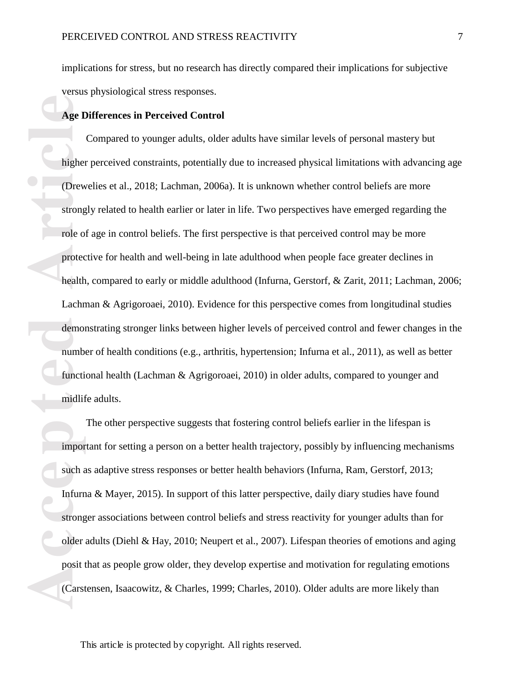implications for stress, but no research has directly compared their implications for subjective versus physiological stress responses.

## **Age Differences in Perceived Control**

**Age I**<br> **Age I**<br> **After (Drew strong role of protect)<br>
<b>Article**<br> **Article**<br> **Caccel Article**<br> **Article**<br> **Article**<br> **Article**<br> **Article impormed and the impormed such a linfurn<br>
strong older posit 1** Compared to younger adults, older adults have similar levels of personal mastery but higher perceived constraints, potentially due to increased physical limitations with advancing age (Drewelies et al., 2018; Lachman, 2006a). It is unknown whether control beliefs are more strongly related to health earlier or later in life. Two perspectives have emerged regarding the role of age in control beliefs. The first perspective is that perceived control may be more protective for health and well-being in late adulthood when people face greater declines in health, compared to early or middle adulthood (Infurna, Gerstorf, & Zarit, 2011; Lachman, 2006; Lachman & Agrigoroaei, 2010). Evidence for this perspective comes from longitudinal studies demonstrating stronger links between higher levels of perceived control and fewer changes in the number of health conditions (e.g., arthritis, hypertension; Infurna et al., 2011), as well as better functional health (Lachman & Agrigoroaei, 2010) in older adults, compared to younger and midlife adults.

The other perspective suggests that fostering control beliefs earlier in the lifespan is important for setting a person on a better health trajectory, possibly by influencing mechanisms such as adaptive stress responses or better health behaviors (Infurna, Ram, Gerstorf, 2013; Infurna & Mayer, 2015). In support of this latter perspective, daily diary studies have found stronger associations between control beliefs and stress reactivity for younger adults than for older adults (Diehl & Hay, 2010; Neupert et al., 2007). Lifespan theories of emotions and aging posit that as people grow older, they develop expertise and motivation for regulating emotions (Carstensen, Isaacowitz, & Charles, 1999; Charles, 2010). Older adults are more likely than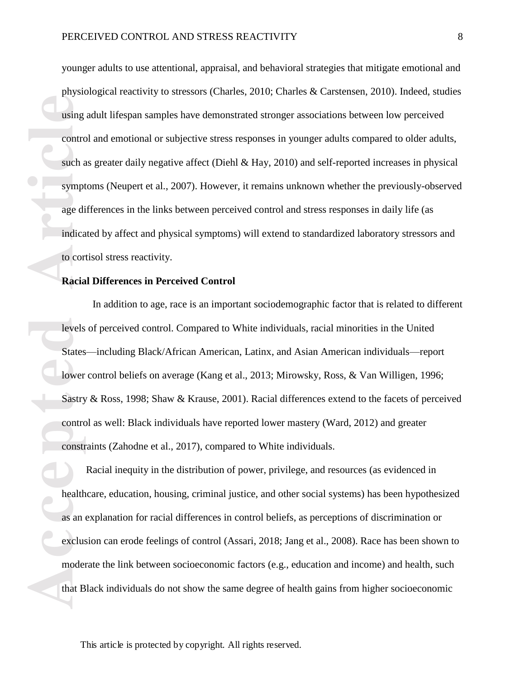**Accessing to the Conduction Conduction Conduction Conduction Conduction Conduction Constrained that B**<br> **Access States**<br> **Access States**<br> **Access States**<br> **Access States**<br> **Access States**<br> **Access States**<br> **Access States** younger adults to use attentional, appraisal, and behavioral strategies that mitigate emotional and physiological reactivity to stressors (Charles, 2010; Charles & Carstensen, 2010). Indeed, studies using adult lifespan samples have demonstrated stronger associations between low perceived control and emotional or subjective stress responses in younger adults compared to older adults, such as greater daily negative affect (Diehl & Hay, 2010) and self-reported increases in physical symptoms (Neupert et al., 2007). However, it remains unknown whether the previously-observed age differences in the links between perceived control and stress responses in daily life (as indicated by affect and physical symptoms) will extend to standardized laboratory stressors and to cortisol stress reactivity.

#### **Racial Differences in Perceived Control**

In addition to age, race is an important sociodemographic factor that is related to different levels of perceived control. Compared to White individuals, racial minorities in the United States—including Black/African American, Latinx, and Asian American individuals—report lower control beliefs on average (Kang et al., 2013; Mirowsky, Ross, & Van Willigen, 1996; Sastry & Ross, 1998; Shaw & Krause, 2001). Racial differences extend to the facets of perceived control as well: Black individuals have reported lower mastery (Ward, 2012) and greater constraints (Zahodne et al., 2017), compared to White individuals.

Racial inequity in the distribution of power, privilege, and resources (as evidenced in healthcare, education, housing, criminal justice, and other social systems) has been hypothesized as an explanation for racial differences in control beliefs, as perceptions of discrimination or exclusion can erode feelings of control (Assari, 2018; Jang et al., 2008). Race has been shown to moderate the link between socioeconomic factors (e.g., education and income) and health, such that Black individuals do not show the same degree of health gains from higher socioeconomic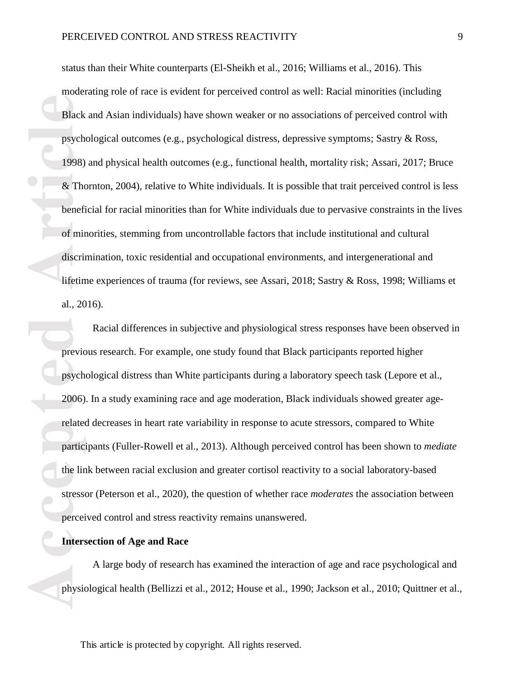Black<br>
psych<br>
1998)<br>
& The<br>
beneficed<br>
of min<br>
discrive iffetin<br>
al., 20<br>
previced<br>
psych<br>
2006)<br>
related<br>
partic<br>
the lire<br>
stresse<br>
percei<br> **Article**<br>
previced<br>
partic<br>
the lire<br>
physic<br>
physic<br>
physic status than their White counterparts (El-Sheikh et al., 2016; Williams et al., 2016). This moderating role of race is evident for perceived control as well: Racial minorities (including Black and Asian individuals) have shown weaker or no associations of perceived control with psychological outcomes (e.g., psychological distress, depressive symptoms; Sastry & Ross, 1998) and physical health outcomes (e.g., functional health, mortality risk; Assari, 2017; Bruce & Thornton, 2004), relative to White individuals. It is possible that trait perceived control is less beneficial for racial minorities than for White individuals due to pervasive constraints in the lives of minorities, stemming from uncontrollable factors that include institutional and cultural discrimination, toxic residential and occupational environments, and intergenerational and lifetime experiences of trauma (for reviews, see Assari, 2018; Sastry & Ross, 1998; Williams et al., 2016).

Racial differences in subjective and physiological stress responses have been observed in previous research. For example, one study found that Black participants reported higher psychological distress than White participants during a laboratory speech task (Lepore et al., 2006). In a study examining race and age moderation, Black individuals showed greater agerelated decreases in heart rate variability in response to acute stressors, compared to White participants (Fuller-Rowell et al., 2013). Although perceived control has been shown to *mediate*  the link between racial exclusion and greater cortisol reactivity to a social laboratory-based stressor (Peterson et al., 2020), the question of whether race *moderates* the association between perceived control and stress reactivity remains unanswered.

## **Intersection of Age and Race**

A large body of research has examined the interaction of age and race psychological and physiological health (Bellizzi et al., 2012; House et al., 1990; Jackson et al., 2010; Quittner et al.,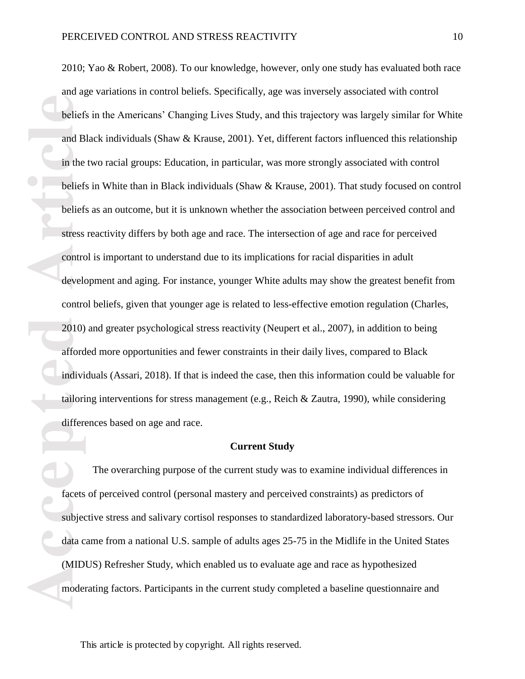**Acceleristing the United States**<br> **Acceleristics**<br> **Acceleristics**<br> **Acceleristics**<br> **Acceleristics**<br> **Acceleristics**<br> **Acceleristics**<br> **Acceleristics**<br> **Acceleristics**<br> **Acceleristics**<br> **Acceleristics**<br> **Acceleristics**<br> 2010; Yao & Robert, 2008). To our knowledge, however, only one study has evaluated both race and age variations in control beliefs. Specifically, age was inversely associated with control beliefs in the Americans' Changing Lives Study, and this trajectory was largely similar for White and Black individuals (Shaw & Krause, 2001). Yet, different factors influenced this relationship in the two racial groups: Education, in particular, was more strongly associated with control beliefs in White than in Black individuals (Shaw & Krause, 2001). That study focused on control beliefs as an outcome, but it is unknown whether the association between perceived control and stress reactivity differs by both age and race. The intersection of age and race for perceived control is important to understand due to its implications for racial disparities in adult development and aging. For instance, younger White adults may show the greatest benefit from control beliefs, given that younger age is related to less-effective emotion regulation (Charles, 2010) and greater psychological stress reactivity (Neupert et al., 2007), in addition to being afforded more opportunities and fewer constraints in their daily lives, compared to Black individuals (Assari, 2018). If that is indeed the case, then this information could be valuable for tailoring interventions for stress management (e.g., Reich & Zautra, 1990), while considering differences based on age and race.

#### **Current Study**

The overarching purpose of the current study was to examine individual differences in facets of perceived control (personal mastery and perceived constraints) as predictors of subjective stress and salivary cortisol responses to standardized laboratory-based stressors. Our data came from a national U.S. sample of adults ages 25-75 in the Midlife in the United States (MIDUS) Refresher Study, which enabled us to evaluate age and race as hypothesized moderating factors. Participants in the current study completed a baseline questionnaire and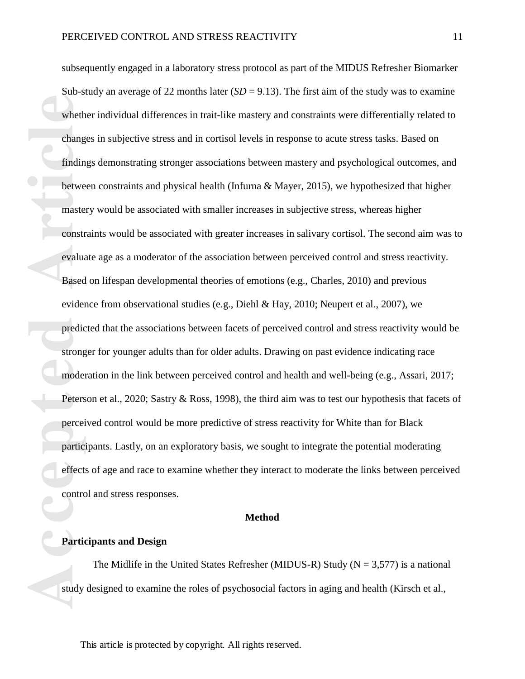Wheth<br>
chang<br>
findin<br>
betwe<br>
maste<br>
constr<br>
evalua<br>
Based<br>
evider<br>
predic<br>
strong<br>
moder<br>
Peters<br>
percei<br>
partic<br>
ffect<br>
contro<br>
Partic<br>
ffect<br>
strong<br>
moder<br>
Peters<br>
partic<br>
effect<br>
contro subsequently engaged in a laboratory stress protocol as part of the MIDUS Refresher Biomarker Sub-study an average of 22 months later  $(SD = 9.13)$ . The first aim of the study was to examine whether individual differences in trait-like mastery and constraints were differentially related to changes in subjective stress and in cortisol levels in response to acute stress tasks. Based on findings demonstrating stronger associations between mastery and psychological outcomes, and between constraints and physical health (Infurna & Mayer, 2015), we hypothesized that higher mastery would be associated with smaller increases in subjective stress, whereas higher constraints would be associated with greater increases in salivary cortisol. The second aim was to evaluate age as a moderator of the association between perceived control and stress reactivity. Based on lifespan developmental theories of emotions (e.g., Charles, 2010) and previous evidence from observational studies (e.g., Diehl & Hay, 2010; Neupert et al., 2007), we predicted that the associations between facets of perceived control and stress reactivity would be stronger for younger adults than for older adults. Drawing on past evidence indicating race moderation in the link between perceived control and health and well-being (e.g., Assari, 2017; Peterson et al., 2020; Sastry & Ross, 1998), the third aim was to test our hypothesis that facets of perceived control would be more predictive of stress reactivity for White than for Black participants. Lastly, on an exploratory basis, we sought to integrate the potential moderating effects of age and race to examine whether they interact to moderate the links between perceived control and stress responses.

#### **Method**

## **Participants and Design**

The Midlife in the United States Refresher (MIDUS-R) Study ( $N = 3,577$ ) is a national study designed to examine the roles of psychosocial factors in aging and health (Kirsch et al.,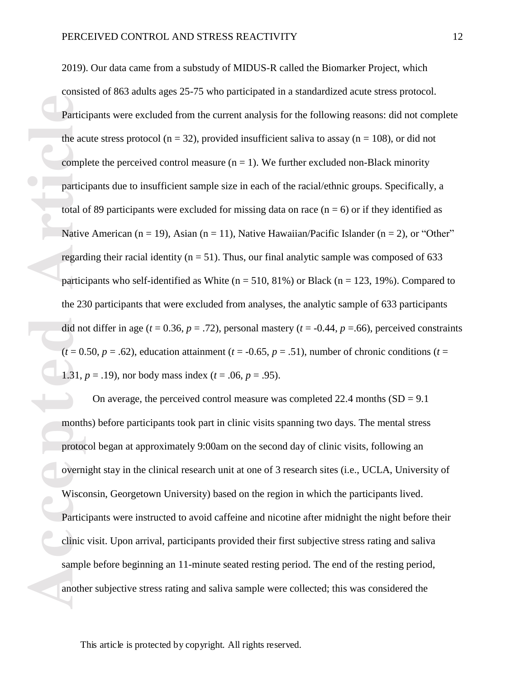**Partic**<br>the accomplement<br>particle<br>total complements<br>regard particle<br>the 23<br>did not (t = 0.<br>1.31, j<br>month protocomplements)<br>wised Partic<br>Particle<br>Particle<br>Particle<br>Particle<br>Particle<br>Supports 2019). Our data came from a substudy of MIDUS-R called the Biomarker Project, which consisted of 863 adults ages 25-75 who participated in a standardized acute stress protocol. Participants were excluded from the current analysis for the following reasons: did not complete the acute stress protocol ( $n = 32$ ), provided insufficient saliva to assay ( $n = 108$ ), or did not complete the perceived control measure  $(n = 1)$ . We further excluded non-Black minority participants due to insufficient sample size in each of the racial/ethnic groups. Specifically, a total of 89 participants were excluded for missing data on race  $(n = 6)$  or if they identified as Native American (n = 19), Asian (n = 11), Native Hawaiian/Pacific Islander (n = 2), or "Other" regarding their racial identity ( $n = 51$ ). Thus, our final analytic sample was composed of 633 participants who self-identified as White ( $n = 510, 81\%$ ) or Black ( $n = 123, 19\%$ ). Compared to the 230 participants that were excluded from analyses, the analytic sample of 633 participants did not differ in age ( $t = 0.36$ ,  $p = .72$ ), personal mastery ( $t = -0.44$ ,  $p = .66$ ), perceived constraints  $(t = 0.50, p = .62)$ , education attainment  $(t = -0.65, p = .51)$ , number of chronic conditions  $(t = 0.50, p = .62)$ 1.31,  $p = .19$ ), nor body mass index ( $t = .06$ ,  $p = .95$ ).

On average, the perceived control measure was completed  $22.4$  months  $(SD = 9.1)$ months) before participants took part in clinic visits spanning two days. The mental stress protocol began at approximately 9:00am on the second day of clinic visits, following an overnight stay in the clinical research unit at one of 3 research sites (i.e., UCLA, University of Wisconsin, Georgetown University) based on the region in which the participants lived. Participants were instructed to avoid caffeine and nicotine after midnight the night before their clinic visit. Upon arrival, participants provided their first subjective stress rating and saliva sample before beginning an 11-minute seated resting period. The end of the resting period, another subjective stress rating and saliva sample were collected; this was considered the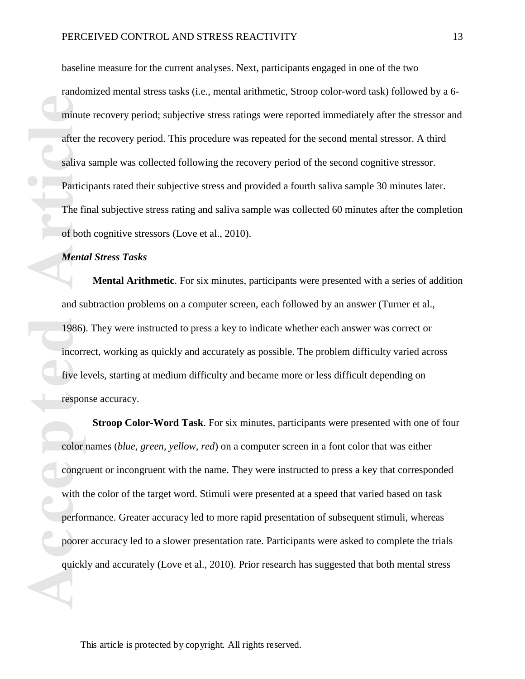baseline measure for the current analyses. Next, participants engaged in one of the two randomized mental stress tasks (i.e., mental arithmetic, Stroop color-word task) followed by a 6 minute recovery period; subjective stress ratings were reported immediately after the stressor and after the recovery period. This procedure was repeated for the second mental stressor. A third saliva sample was collected following the recovery period of the second cognitive stressor. Participants rated their subjective stress and provided a fourth saliva sample 30 minutes later. The final subjective stress rating and saliva sample was collected 60 minutes after the completion of both cognitive stressors (Love et al., 2010).

## *Mental Stress Tasks*

**Mental Arithmetic**. For six minutes, participants were presented with a series of addition and subtraction problems on a computer screen, each followed by an answer (Turner et al., 1986). They were instructed to press a key to indicate whether each answer was correct or incorrect, working as quickly and accurately as possible. The problem difficulty varied across five levels, starting at medium difficulty and became more or less difficult depending on response accuracy.

minut<br>
after t<br>
saliva<br>
Partic<br>
The fi<br>
of bot<br> *Menta*<br>
and su<br>
and su<br>
1986)<br>
incorr<br>
five le<br>
respon<br>
color<br>
color<br>
to proper<br>
with t<br>
performed<br>
performed<br>
performed<br>
performed<br>
performed<br>
performed<br>
performed<br>
perform **Stroop Color-Word Task**. For six minutes, participants were presented with one of four color names (*blue, green, yellow, red*) on a computer screen in a font color that was either congruent or incongruent with the name. They were instructed to press a key that corresponded with the color of the target word. Stimuli were presented at a speed that varied based on task performance. Greater accuracy led to more rapid presentation of subsequent stimuli, whereas poorer accuracy led to a slower presentation rate. Participants were asked to complete the trials quickly and accurately (Love et al., 2010). Prior research has suggested that both mental stress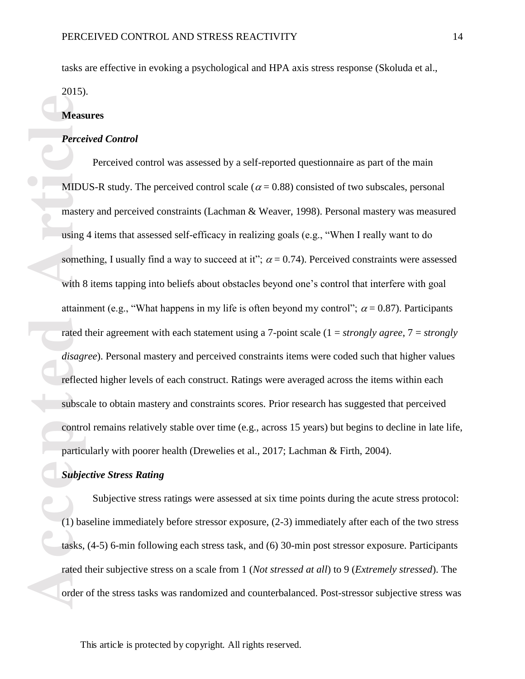tasks are effective in evoking a psychological and HPA axis stress response (Skoluda et al.,

2015).

## **Measures**

## *Perceived Control*

**Access**<br> **Access**<br> **ACCES**<br> **ACCES**<br> **ACCES**<br> **ACCES**<br> **ACCES**<br> **ACCES**<br> **ACCES**<br> **ACCES**<br> **ACCES**<br> **ACCES**<br> **ACCES**<br> **ACCES**<br> **ACCES**<br> **ACCES**<br> **ACCES**<br> **ACCES**<br> **ACCES**<br> **ACCES**<br> **ACCES**<br> **ACCES**<br> **ACCES**<br> **ACCES**<br> **ACC** Perceived control was assessed by a self-reported questionnaire as part of the main MIDUS-R study. The perceived control scale ( $\alpha$  = 0.88) consisted of two subscales, personal mastery and perceived constraints (Lachman & Weaver, 1998). Personal mastery was measured using 4 items that assessed self-efficacy in realizing goals (e.g., "When I really want to do something, I usually find a way to succeed at it";  $\alpha = 0.74$ ). Perceived constraints were assessed with 8 items tapping into beliefs about obstacles beyond one's control that interfere with goal attainment (e.g., "What happens in my life is often beyond my control";  $\alpha$  = 0.87). Participants rated their agreement with each statement using a 7-point scale (1 = *strongly agree*, 7 = *strongly disagree*). Personal mastery and perceived constraints items were coded such that higher values reflected higher levels of each construct. Ratings were averaged across the items within each subscale to obtain mastery and constraints scores. Prior research has suggested that perceived control remains relatively stable over time (e.g., across 15 years) but begins to decline in late life, particularly with poorer health (Drewelies et al., 2017; Lachman & Firth, 2004).

#### *Subjective Stress Rating*

Subjective stress ratings were assessed at six time points during the acute stress protocol: (1) baseline immediately before stressor exposure, (2-3) immediately after each of the two stress tasks, (4-5) 6-min following each stress task, and (6) 30-min post stressor exposure. Participants rated their subjective stress on a scale from 1 (*Not stressed at all*) to 9 (*Extremely stressed*). The order of the stress tasks was randomized and counterbalanced. Post-stressor subjective stress was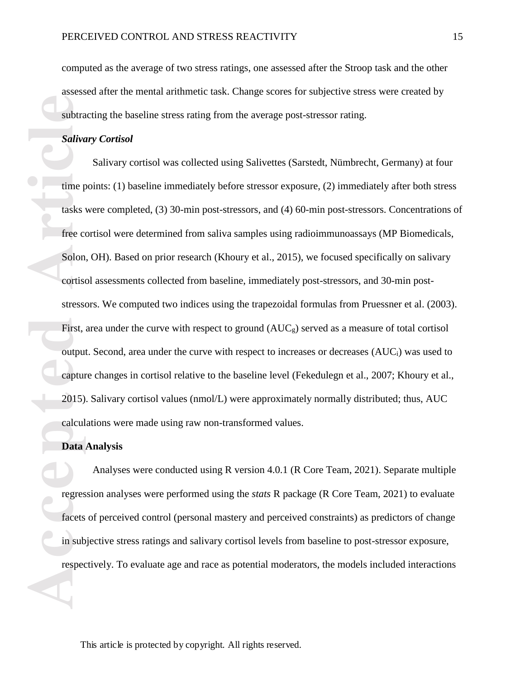computed as the average of two stress ratings, one assessed after the Stroop task and the other assessed after the mental arithmetic task. Change scores for subjective stress were created by subtracting the baseline stress rating from the average post-stressor rating.

## *Salivary Cortisol*

**Example 18 Saliva**<br> **Accepted Article**<br> **Accepted Article**<br> **Article**<br> **Article**<br> **Article**<br> **Article**<br> **Article**<br> **Article**<br> **Article**<br> **Article**<br> **Article**<br> **Article**<br> **Article**<br> **Article**<br> **Article**<br> **Article**<br> **Ar** Salivary cortisol was collected using Salivettes (Sarstedt, Nümbrecht, Germany) at four time points: (1) baseline immediately before stressor exposure, (2) immediately after both stress tasks were completed, (3) 30-min post-stressors, and (4) 60-min post-stressors. Concentrations of free cortisol were determined from saliva samples using radioimmunoassays (MP Biomedicals, Solon, OH). Based on prior research (Khoury et al., 2015), we focused specifically on salivary cortisol assessments collected from baseline, immediately post-stressors, and 30-min poststressors. We computed two indices using the trapezoidal formulas from Pruessner et al. (2003). First, area under the curve with respect to ground  $(AUC<sub>g</sub>)$  served as a measure of total cortisol output. Second, area under the curve with respect to increases or decreases (AUCi) was used to capture changes in cortisol relative to the baseline level (Fekedulegn et al., 2007; Khoury et al., 2015). Salivary cortisol values (nmol/L) were approximately normally distributed; thus, AUC calculations were made using raw non-transformed values.

#### **Data Analysis**

Analyses were conducted using R version 4.0.1 (R Core Team, 2021). Separate multiple regression analyses were performed using the *stats* R package (R Core Team, 2021) to evaluate facets of perceived control (personal mastery and perceived constraints) as predictors of change in subjective stress ratings and salivary cortisol levels from baseline to post-stressor exposure, respectively. To evaluate age and race as potential moderators, the models included interactions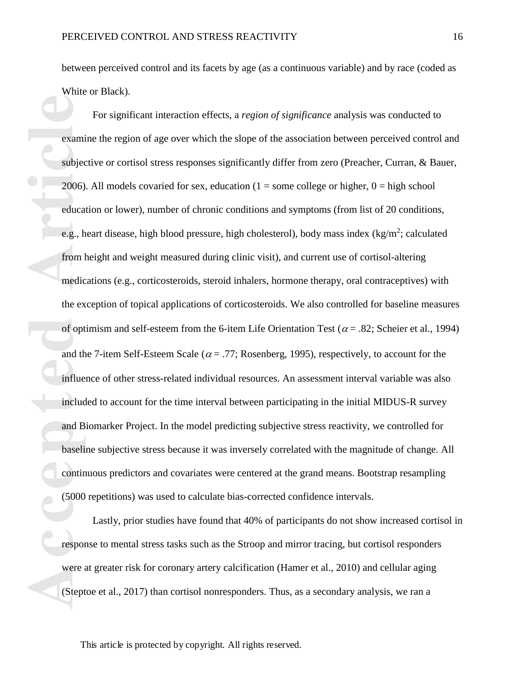between perceived control and its facets by age (as a continuous variable) and by race (coded as White or Black).

**Examing the Example 1988**<br> **Access 2006)**<br> **Access 2006)**<br> **Access 2006**<br> **Access 4**<br> **Access 4**<br> **Access 4**<br> **Access 4**<br> **Access 4**<br> **Access 4**<br> **Access 4**<br> **Access 4**<br> **Access 4**<br> **Access 4**<br> **Access 4**<br> **Access 4**<br> **Ac** For significant interaction effects, a *region of significance* analysis was conducted to examine the region of age over which the slope of the association between perceived control and subjective or cortisol stress responses significantly differ from zero (Preacher, Curran, & Bauer, 2006). All models covaried for sex, education  $(1 =$  some college or higher,  $0 =$  high school education or lower), number of chronic conditions and symptoms (from list of 20 conditions, e.g., heart disease, high blood pressure, high cholesterol), body mass index  $(kg/m^2;$  calculated from height and weight measured during clinic visit), and current use of cortisol-altering medications (e.g., corticosteroids, steroid inhalers, hormone therapy, oral contraceptives) with the exception of topical applications of corticosteroids. We also controlled for baseline measures of optimism and self-esteem from the 6-item Life Orientation Test ( $\alpha$  = .82; Scheier et al., 1994) and the 7-item Self-Esteem Scale ( $\alpha$  = .77; Rosenberg, 1995), respectively, to account for the influence of other stress-related individual resources. An assessment interval variable was also included to account for the time interval between participating in the initial MIDUS-R survey and Biomarker Project. In the model predicting subjective stress reactivity, we controlled for baseline subjective stress because it was inversely correlated with the magnitude of change. All continuous predictors and covariates were centered at the grand means. Bootstrap resampling (5000 repetitions) was used to calculate bias-corrected confidence intervals.

Lastly, prior studies have found that 40% of participants do not show increased cortisol in response to mental stress tasks such as the Stroop and mirror tracing, but cortisol responders were at greater risk for coronary artery calcification (Hamer et al., 2010) and cellular aging (Steptoe et al., 2017) than cortisol nonresponders. Thus, as a secondary analysis, we ran a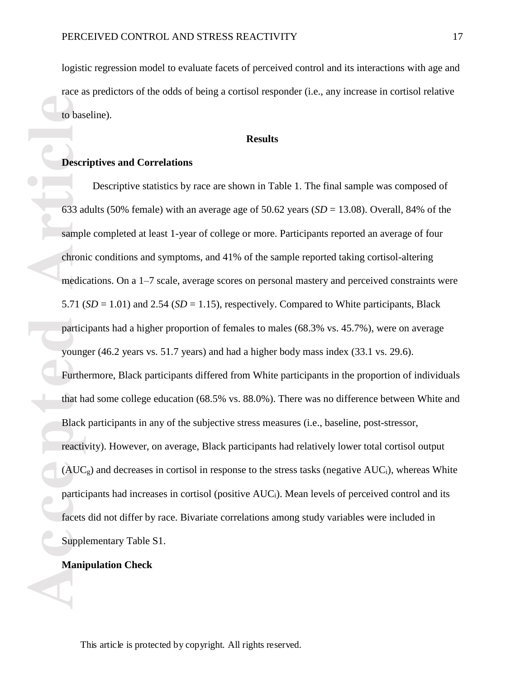logistic regression model to evaluate facets of perceived control and its interactions with age and race as predictors of the odds of being a cortisol responder (i.e., any increase in cortisol relative to baseline).

## **Results**

#### **Descriptives and Correlations**

**Example 18**<br> **Accepted Article**<br> **Accepted Article**<br> **Accepted Article**<br> **Accepted Article**<br> **Accepted**<br> **ACC**<br> **ACC**<br> **Particle**<br> **ACC**<br> **Particle**<br> **ACC**<br> **Particle**<br> **ACC**<br> **Particle**<br> **ACC**<br> **Particle**<br> **ACC** Descriptive statistics by race are shown in Table 1. The final sample was composed of 633 adults (50% female) with an average age of 50.62 years (*SD* = 13.08). Overall, 84% of the sample completed at least 1-year of college or more. Participants reported an average of four chronic conditions and symptoms, and 41% of the sample reported taking cortisol-altering medications. On a 1–7 scale, average scores on personal mastery and perceived constraints were 5.71 (*SD* = 1.01) and 2.54 (*SD* = 1.15), respectively. Compared to White participants, Black participants had a higher proportion of females to males (68.3% vs. 45.7%), were on average younger (46.2 years vs. 51.7 years) and had a higher body mass index (33.1 vs. 29.6). Furthermore, Black participants differed from White participants in the proportion of individuals that had some college education (68.5% vs. 88.0%). There was no difference between White and Black participants in any of the subjective stress measures (i.e., baseline, post-stressor, reactivity). However, on average, Black participants had relatively lower total cortisol output  $(AUC_g)$  and decreases in cortisol in response to the stress tasks (negative AUC<sub>i</sub>), whereas White participants had increases in cortisol (positive AUCi). Mean levels of perceived control and its facets did not differ by race. Bivariate correlations among study variables were included in Supplementary Table S1.

## **Manipulation Check**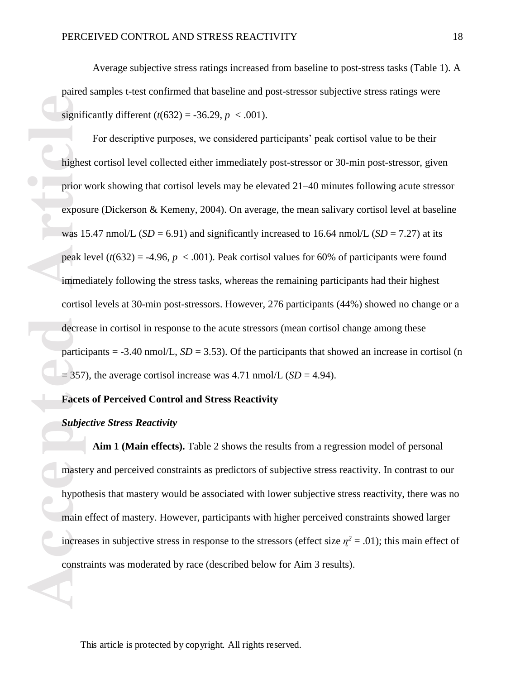Average subjective stress ratings increased from baseline to post-stress tasks (Table 1). A paired samples t-test confirmed that baseline and post-stressor subjective stress ratings were significantly different  $(t(632) = -36.29, p < .001)$ .

**Accession 1991 1993**<br> **Accession 1991 1993**<br> **Accession 1991 1993**<br> **Accession 1991 1993**<br> **Accession 1991 1993**<br> **Accession 1991 1993**<br> **Accession 1991 1993**<br> **Accession 1991 1993**<br> **Accession 1991 1993**<br> **Accession 1991** For descriptive purposes, we considered participants' peak cortisol value to be their highest cortisol level collected either immediately post-stressor or 30-min post-stressor, given prior work showing that cortisol levels may be elevated 21–40 minutes following acute stressor exposure (Dickerson & Kemeny, 2004). On average, the mean salivary cortisol level at baseline was 15.47 nmol/L ( $SD = 6.91$ ) and significantly increased to 16.64 nmol/L ( $SD = 7.27$ ) at its peak level  $(t(632) = -4.96, p < .001)$ . Peak cortisol values for 60% of participants were found immediately following the stress tasks, whereas the remaining participants had their highest cortisol levels at 30-min post-stressors. However, 276 participants (44%) showed no change or a decrease in cortisol in response to the acute stressors (mean cortisol change among these participants =  $-3.40$  nmol/L, *SD* = 3.53). Of the participants that showed an increase in cortisol (n  $= 357$ ), the average cortisol increase was 4.71 nmol/L (*SD* = 4.94).

## **Facets of Perceived Control and Stress Reactivity**

## *Subjective Stress Reactivity*

**Aim 1 (Main effects).** Table 2 shows the results from a regression model of personal mastery and perceived constraints as predictors of subjective stress reactivity. In contrast to our hypothesis that mastery would be associated with lower subjective stress reactivity, there was no main effect of mastery. However, participants with higher perceived constraints showed larger increases in subjective stress in response to the stressors (effect size  $\eta^2 = .01$ ); this main effect of constraints was moderated by race (described below for Aim 3 results).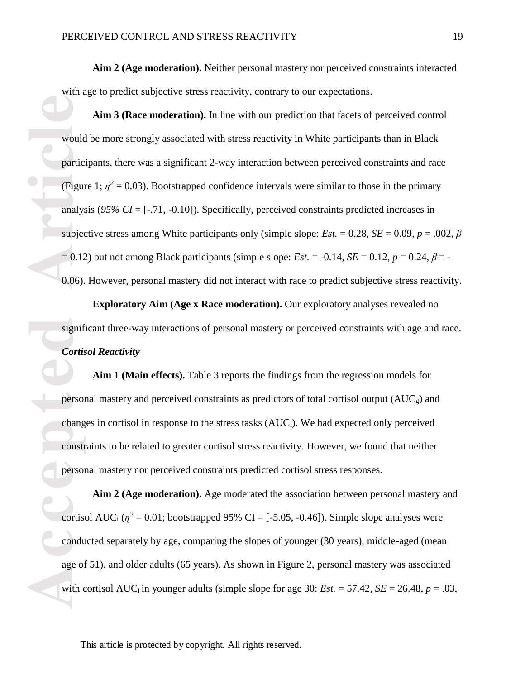**Aim 2 (Age moderation).** Neither personal mastery nor perceived constraints interacted with age to predict subjective stress reactivity, contrary to our expectations.

**Access to the Execution Section**<br>
Access to the person<br>
Access of the person<br>
Cortis<br> **Access of the person**<br>
Condu<br>
<br> **Access of the person**<br>
<br> **Access of the person**<br>
<br> **Access of the person**<br>
<br>
<br> **Access of the person Aim 3 (Race moderation).** In line with our prediction that facets of perceived control would be more strongly associated with stress reactivity in White participants than in Black participants, there was a significant 2-way interaction between perceived constraints and race (Figure 1;  $\eta^2 = 0.03$ ). Bootstrapped confidence intervals were similar to those in the primary analysis (*95% CI* = [-.71, -0.10]). Specifically, perceived constraints predicted increases in subjective stress among White participants only (simple slope: *Est.* = 0.28, *SE* = 0.09, *p* = .002,  $\beta$  $= 0.12$ ) but not among Black participants (simple slope: *Est.* = -0.14, *SE* = 0.12, *p* = 0.24,  $\beta$  = -0.06). However, personal mastery did not interact with race to predict subjective stress reactivity.

**Exploratory Aim (Age x Race moderation).** Our exploratory analyses revealed no significant three-way interactions of personal mastery or perceived constraints with age and race. *Cortisol Reactivity*

**Aim 1 (Main effects).** Table 3 reports the findings from the regression models for personal mastery and perceived constraints as predictors of total cortisol output (AUCg) and changes in cortisol in response to the stress tasks (AUCi). We had expected only perceived constraints to be related to greater cortisol stress reactivity. However, we found that neither personal mastery nor perceived constraints predicted cortisol stress responses.

**Aim 2 (Age moderation).** Age moderated the association between personal mastery and cortisol AUC<sub>i</sub> ( $\eta^2$  = 0.01; bootstrapped 95% CI = [-5.05, -0.46]). Simple slope analyses were conducted separately by age, comparing the slopes of younger (30 years), middle-aged (mean age of 51), and older adults (65 years). As shown in Figure 2, personal mastery was associated with cortisol AUC<sub>i</sub> in younger adults (simple slope for age 30: *Est.*  $= 57.42$ , *SE*  $= 26.48$ ,  $p = .03$ ,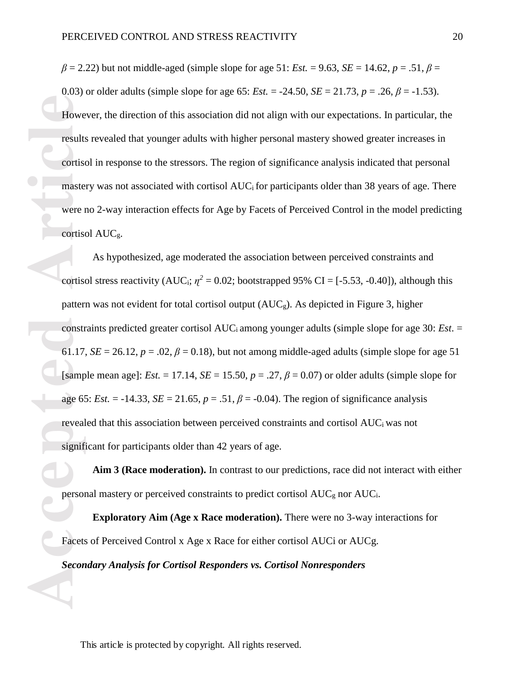$\beta = 2.22$ ) but not middle-aged (simple slope for age 51: *Est.* = 9.63, *SE* = 14.62, *p* = .51,  $\beta$  = 0.03) or older adults (simple slope for age 65: *Est.*  $= -24.50$ , *SE*  $= 21.73$ ,  $p = .26$ ,  $\beta = -1.53$ ). However, the direction of this association did not align with our expectations. In particular, the results revealed that younger adults with higher personal mastery showed greater increases in cortisol in response to the stressors. The region of significance analysis indicated that personal mastery was not associated with cortisol AUC<sub>i</sub> for participants older than 38 years of age. There were no 2-way interaction effects for Age by Facets of Perceived Control in the model predicting cortisol AUCg.

Howe<br>
results<br>
cortise<br>
maste<br>
were 1<br>
cortise<br>
cortise<br>
cortise<br>
patter<br>
constr<br>
61.17<br>
[samp<br>
age 6:<br>
reveal<br>
signif<br>
person<br>
Facets<br>
Secon As hypothesized, age moderated the association between perceived constraints and cortisol stress reactivity (AUC<sub>i</sub>;  $\eta^2 = 0.02$ ; bootstrapped 95% CI = [-5.53, -0.40]), although this pattern was not evident for total cortisol output  $(AUC_g)$ . As depicted in Figure 3, higher constraints predicted greater cortisol AUCi among younger adults (simple slope for age 30: *Est*. = 61.17,  $SE = 26.12$ ,  $p = .02$ ,  $\beta = 0.18$ ), but not among middle-aged adults (simple slope for age 51 [sample mean age]: *Est.* = 17.14, *SE* = 15.50,  $p = .27$ ,  $\beta = 0.07$ ) or older adults (simple slope for age 65: *Est.*  $= -14.33$ , *SE*  $= 21.65$ ,  $p = .51$ ,  $\beta = -0.04$ ). The region of significance analysis revealed that this association between perceived constraints and cortisol AUCi was not significant for participants older than 42 years of age.

**Aim 3 (Race moderation).** In contrast to our predictions, race did not interact with either personal mastery or perceived constraints to predict cortisol AUC<sub>g</sub> nor AUC<sub>i</sub>.

**Exploratory Aim (Age x Race moderation).** There were no 3-way interactions for Facets of Perceived Control x Age x Race for either cortisol AUCi or AUCg. *Secondary Analysis for Cortisol Responders vs. Cortisol Nonresponders*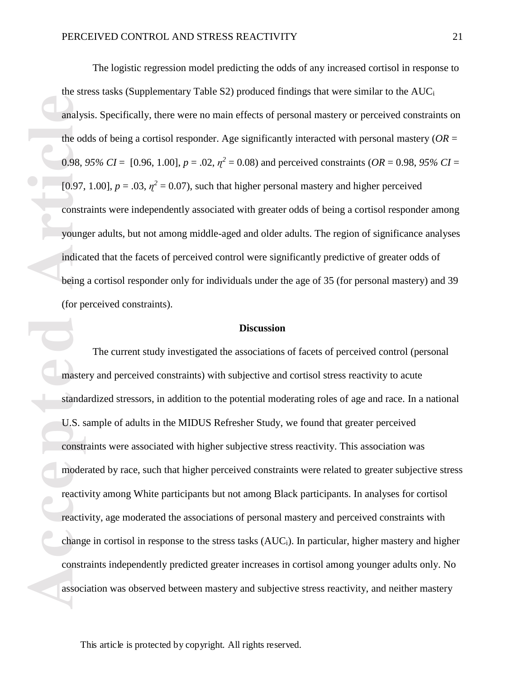The logistic regression model predicting the odds of any increased cortisol in response to the stress tasks (Supplementary Table S2) produced findings that were similar to the AUC<sup>i</sup> analysis. Specifically, there were no main effects of personal mastery or perceived constraints on the odds of being a cortisol responder. Age significantly interacted with personal mastery ( $OR =$ 0.98, 95% CI =  $[0.96, 1.00]$ ,  $p = .02$ ,  $\eta^2 = 0.08$ ) and perceived constraints (OR = 0.98, 95% CI = [0.97, 1.00],  $p = .03$ ,  $\eta^2 = 0.07$ ), such that higher personal mastery and higher perceived constraints were independently associated with greater odds of being a cortisol responder among younger adults, but not among middle-aged and older adults. The region of significance analyses indicated that the facets of perceived control were significantly predictive of greater odds of being a cortisol responder only for individuals under the age of 35 (for personal mastery) and 39 (for perceived constraints).

#### **Discussion**

**Example 19 analystic decision of the od** 0.98, [0.97, construed being indicated being (for potential) master and the master of the moder reactive chang construed associles associative chang construed associative chang con The current study investigated the associations of facets of perceived control (personal mastery and perceived constraints) with subjective and cortisol stress reactivity to acute standardized stressors, in addition to the potential moderating roles of age and race. In a national U.S. sample of adults in the MIDUS Refresher Study, we found that greater perceived constraints were associated with higher subjective stress reactivity. This association was moderated by race, such that higher perceived constraints were related to greater subjective stress reactivity among White participants but not among Black participants. In analyses for cortisol reactivity, age moderated the associations of personal mastery and perceived constraints with change in cortisol in response to the stress tasks  $(AUC_i)$ . In particular, higher mastery and higher constraints independently predicted greater increases in cortisol among younger adults only. No association was observed between mastery and subjective stress reactivity, and neither mastery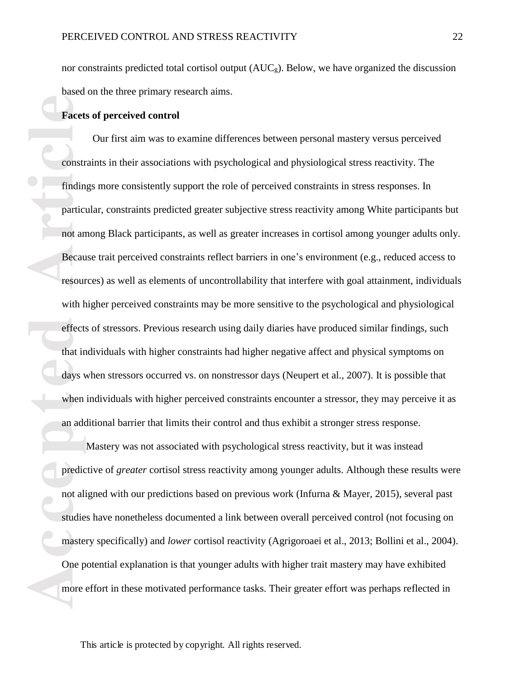nor constraints predicted total cortisol output  $(AUC_g)$ . Below, we have organized the discussion based on the three primary research aims.

## **Facets of perceived control**

**Facet**<br> **Accepted**<br> **Article**<br> **Article**<br> **Article**<br> **Article**<br> **Article**<br> **Article**<br> **Article**<br> **Article**<br> **Article**<br> **Article**<br> **Article**<br> **Article**<br> **Article**<br> **Article**<br> **Article**<br> **Article**<br> **Article**<br> **Article**<br> **Ar** Our first aim was to examine differences between personal mastery versus perceived constraints in their associations with psychological and physiological stress reactivity. The findings more consistently support the role of perceived constraints in stress responses. In particular, constraints predicted greater subjective stress reactivity among White participants but not among Black participants, as well as greater increases in cortisol among younger adults only. Because trait perceived constraints reflect barriers in one's environment (e.g., reduced access to resources) as well as elements of uncontrollability that interfere with goal attainment, individuals with higher perceived constraints may be more sensitive to the psychological and physiological effects of stressors. Previous research using daily diaries have produced similar findings, such that individuals with higher constraints had higher negative affect and physical symptoms on days when stressors occurred vs. on nonstressor days (Neupert et al., 2007). It is possible that when individuals with higher perceived constraints encounter a stressor, they may perceive it as an additional barrier that limits their control and thus exhibit a stronger stress response.

Mastery was not associated with psychological stress reactivity, but it was instead predictive of *greater* cortisol stress reactivity among younger adults. Although these results were not aligned with our predictions based on previous work (Infurna & Mayer, 2015), several past studies have nonetheless documented a link between overall perceived control (not focusing on mastery specifically) and *lower* cortisol reactivity (Agrigoroaei et al., 2013; Bollini et al., 2004). One potential explanation is that younger adults with higher trait mastery may have exhibited more effort in these motivated performance tasks. Their greater effort was perhaps reflected in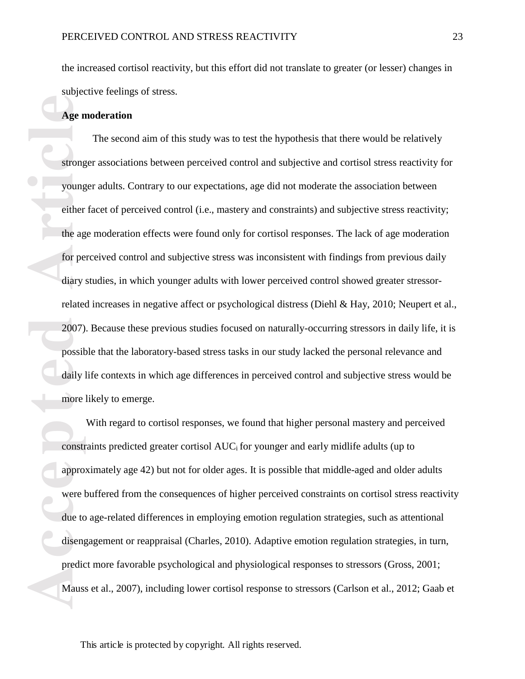the increased cortisol reactivity, but this effort did not translate to greater (or lesser) changes in subjective feelings of stress.

## **Age moderation**

**Age n**<br> **Accelent**<br> **Accelent**<br> **Accelent**<br> **Accelent**<br> **Accelent**<br> **CONSTERED ARTICLES**<br> **ACCELENT**<br> **ACCELENT**<br> **ACCELENT**<br> **ACCELENT**<br> **ACCELENT**<br> **ACCELENT**<br> **ACCELENT**<br> **ACCELENT**<br> **ACCELENT**<br> **ACCELENT**<br> **ACCELENT**<br> The second aim of this study was to test the hypothesis that there would be relatively stronger associations between perceived control and subjective and cortisol stress reactivity for younger adults. Contrary to our expectations, age did not moderate the association between either facet of perceived control (i.e., mastery and constraints) and subjective stress reactivity; the age moderation effects were found only for cortisol responses. The lack of age moderation for perceived control and subjective stress was inconsistent with findings from previous daily diary studies, in which younger adults with lower perceived control showed greater stressorrelated increases in negative affect or psychological distress (Diehl & Hay, 2010; Neupert et al., 2007). Because these previous studies focused on naturally-occurring stressors in daily life, it is possible that the laboratory-based stress tasks in our study lacked the personal relevance and daily life contexts in which age differences in perceived control and subjective stress would be more likely to emerge.

With regard to cortisol responses, we found that higher personal mastery and perceived constraints predicted greater cortisol AUCi for younger and early midlife adults (up to approximately age 42) but not for older ages. It is possible that middle-aged and older adults were buffered from the consequences of higher perceived constraints on cortisol stress reactivity due to age-related differences in employing emotion regulation strategies, such as attentional disengagement or reappraisal (Charles, 2010). Adaptive emotion regulation strategies, in turn, predict more favorable psychological and physiological responses to stressors (Gross, 2001; Mauss et al., 2007), including lower cortisol response to stressors (Carlson et al., 2012; Gaab et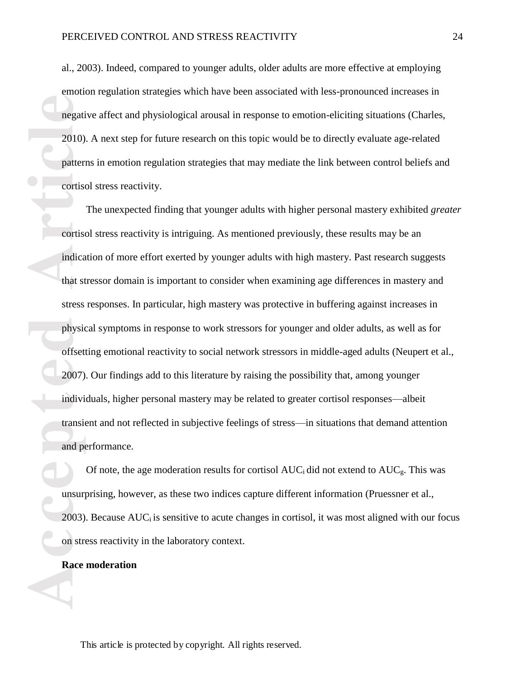al., 2003). Indeed, compared to younger adults, older adults are more effective at employing emotion regulation strategies which have been associated with less-pronounced increases in negative affect and physiological arousal in response to emotion-eliciting situations (Charles, 2010). A next step for future research on this topic would be to directly evaluate age-related patterns in emotion regulation strategies that may mediate the link between control beliefs and cortisol stress reactivity.

**Accepted Accepted Articles Articles Articles Continued Continued and Performance <b>Articles Articles Articles 1988 Articles 1989 Articles 1989 Articles 1989 Articles 1989 Articles 1989 Articles 1989** The unexpected finding that younger adults with higher personal mastery exhibited *greater*  cortisol stress reactivity is intriguing. As mentioned previously, these results may be an indication of more effort exerted by younger adults with high mastery. Past research suggests that stressor domain is important to consider when examining age differences in mastery and stress responses. In particular, high mastery was protective in buffering against increases in physical symptoms in response to work stressors for younger and older adults, as well as for offsetting emotional reactivity to social network stressors in middle-aged adults (Neupert et al., 2007). Our findings add to this literature by raising the possibility that, among younger individuals, higher personal mastery may be related to greater cortisol responses—albeit transient and not reflected in subjective feelings of stress—in situations that demand attention and performance.

Of note, the age moderation results for cortisol  $AUC_i$  did not extend to  $AUC_g$ . This was unsurprising, however, as these two indices capture different information (Pruessner et al.,  $2003$ ). Because AUC<sub>i</sub> is sensitive to acute changes in cortisol, it was most aligned with our focus on stress reactivity in the laboratory context.

## **Race moderation**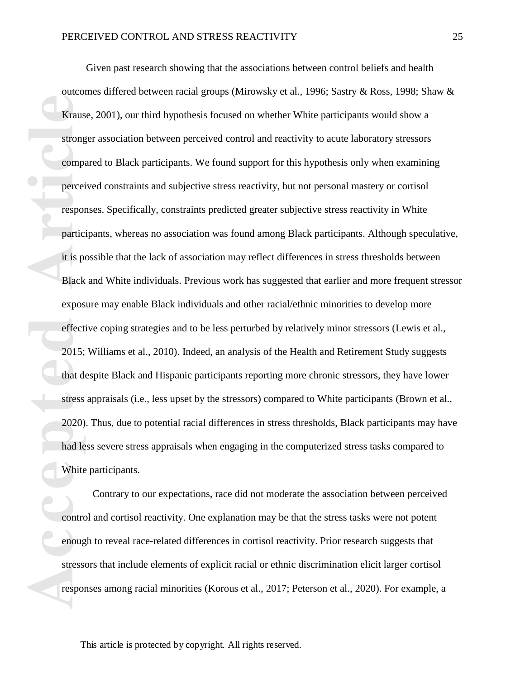$\bullet$  1

**Example 18**<br> **Access 1999**<br> **Access 1999**<br> **Access 1999**<br> **Access 2020**<br> **Access 2020**<br> **Access 2020**<br> **Access 2020**<br> **Access 2020**<br> **Access 2020**<br> **Access 1999**<br> **Access 1999**<br> **Access 1999**<br> **Access 1999**<br> **Access 1999** Given past research showing that the associations between control beliefs and health outcomes differed between racial groups (Mirowsky et al., 1996; Sastry & Ross, 1998; Shaw & Krause, 2001), our third hypothesis focused on whether White participants would show a stronger association between perceived control and reactivity to acute laboratory stressors compared to Black participants. We found support for this hypothesis only when examining perceived constraints and subjective stress reactivity, but not personal mastery or cortisol responses. Specifically, constraints predicted greater subjective stress reactivity in White participants, whereas no association was found among Black participants. Although speculative, it is possible that the lack of association may reflect differences in stress thresholds between Black and White individuals. Previous work has suggested that earlier and more frequent stressor exposure may enable Black individuals and other racial/ethnic minorities to develop more effective coping strategies and to be less perturbed by relatively minor stressors (Lewis et al., 2015; Williams et al., 2010). Indeed, an analysis of the Health and Retirement Study suggests that despite Black and Hispanic participants reporting more chronic stressors, they have lower stress appraisals (i.e., less upset by the stressors) compared to White participants (Brown et al., 2020). Thus, due to potential racial differences in stress thresholds, Black participants may have had less severe stress appraisals when engaging in the computerized stress tasks compared to White participants.

Contrary to our expectations, race did not moderate the association between perceived control and cortisol reactivity. One explanation may be that the stress tasks were not potent enough to reveal race-related differences in cortisol reactivity. Prior research suggests that stressors that include elements of explicit racial or ethnic discrimination elicit larger cortisol responses among racial minorities (Korous et al., 2017; Peterson et al., 2020). For example, a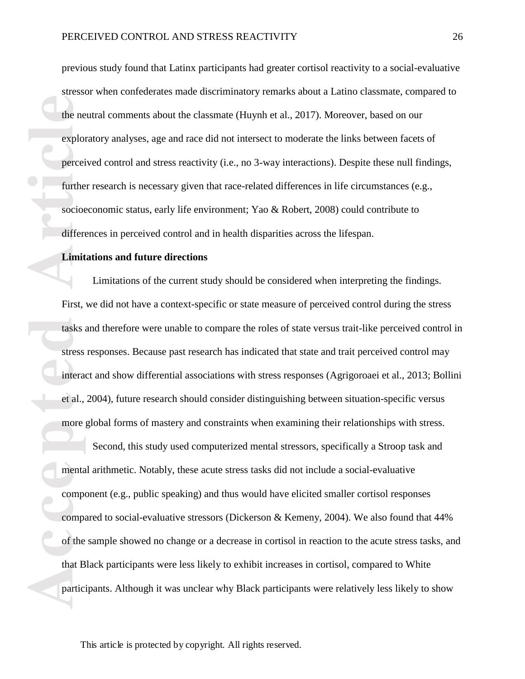previous study found that Latinx participants had greater cortisol reactivity to a social-evaluative stressor when confederates made discriminatory remarks about a Latino classmate, compared to the neutral comments about the classmate (Huynh et al., 2017). Moreover, based on our exploratory analyses, age and race did not intersect to moderate the links between facets of perceived control and stress reactivity (i.e., no 3-way interactions). Despite these null findings, further research is necessary given that race-related differences in life circumstances (e.g., socioeconomic status, early life environment; Yao & Robert, 2008) could contribute to differences in perceived control and in health disparities across the lifespan.

#### **Limitations and future directions**

Limitations of the current study should be considered when interpreting the findings. First, we did not have a context-specific or state measure of perceived control during the stress tasks and therefore were unable to compare the roles of state versus trait-like perceived control in stress responses. Because past research has indicated that state and trait perceived control may interact and show differential associations with stress responses (Agrigoroaei et al., 2013; Bollini et al., 2004), future research should consider distinguishing between situation-specific versus more global forms of mastery and constraints when examining their relationships with stress.

**Explore Explore Explore Explore Explore Explore Explore Experience Interaction Limit First, tasks are stress interaction and compeosition of the that B partic** Second, this study used computerized mental stressors, specifically a Stroop task and mental arithmetic. Notably, these acute stress tasks did not include a social-evaluative component (e.g., public speaking) and thus would have elicited smaller cortisol responses compared to social-evaluative stressors (Dickerson & Kemeny, 2004). We also found that 44% of the sample showed no change or a decrease in cortisol in reaction to the acute stress tasks, and that Black participants were less likely to exhibit increases in cortisol, compared to White participants. Although it was unclear why Black participants were relatively less likely to show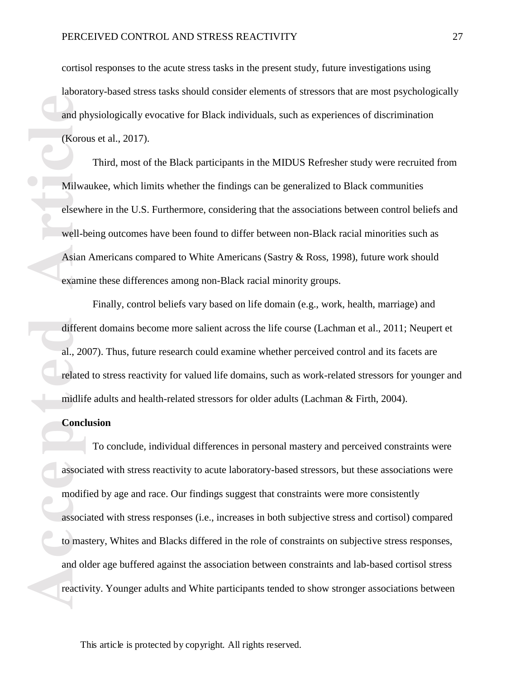cortisol responses to the acute stress tasks in the present study, future investigations using laboratory-based stress tasks should consider elements of stressors that are most psychologically and physiologically evocative for Black individuals, such as experiences of discrimination (Korous et al., 2017).

Third, most of the Black participants in the MIDUS Refresher study were recruited from Milwaukee, which limits whether the findings can be generalized to Black communities elsewhere in the U.S. Furthermore, considering that the associations between control beliefs and well-being outcomes have been found to differ between non-Black racial minorities such as Asian Americans compared to White Americans (Sastry & Ross, 1998), future work should examine these differences among non-Black racial minority groups.

Finally, control beliefs vary based on life domain (e.g., work, health, marriage) and different domains become more salient across the life course (Lachman et al., 2011; Neupert et al., 2007). Thus, future research could examine whether perceived control and its facets are related to stress reactivity for valued life domains, such as work-related stressors for younger and midlife adults and health-related stressors for older adults (Lachman & Firth, 2004).

## **Conclusion**

**Accession 4.4 Accessing CERN Article**<br> **Accessing CERN Accession**<br> **Accessing CERN Accession**<br> **Accessing CERN Accession 4.5 Accession 4.5 Accession 4.6 Accession 4.6 Accession 4.6 Accession 4.6 Accessible 2.5 Accessible** To conclude, individual differences in personal mastery and perceived constraints were associated with stress reactivity to acute laboratory-based stressors, but these associations were modified by age and race. Our findings suggest that constraints were more consistently associated with stress responses (i.e., increases in both subjective stress and cortisol) compared to mastery, Whites and Blacks differed in the role of constraints on subjective stress responses, and older age buffered against the association between constraints and lab-based cortisol stress reactivity. Younger adults and White participants tended to show stronger associations between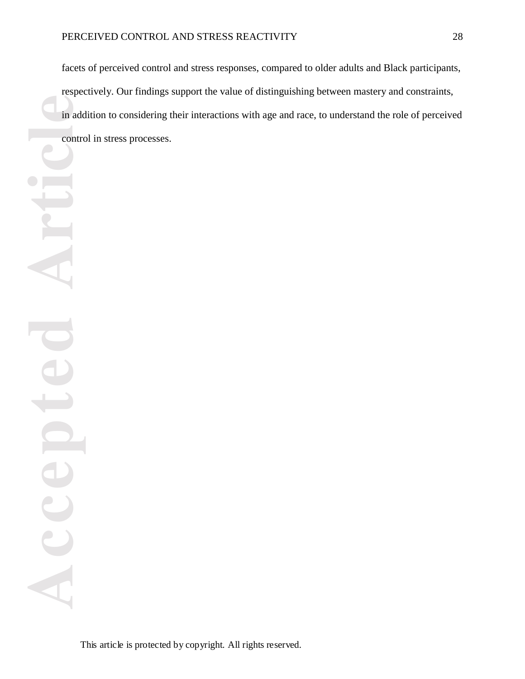facets of perceived control and stress responses, compared to older adults and Black participants, respectively. Our findings support the value of distinguishing between mastery and constraints, in addition to considering their interactions with age and race, to understand the role of perceived control in stress processes.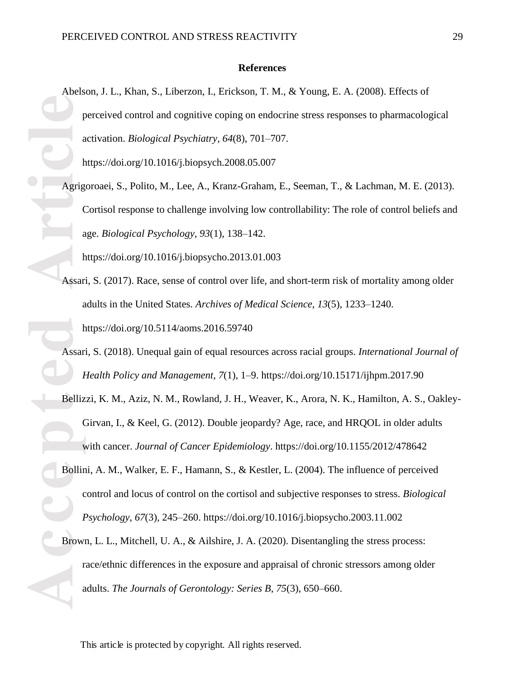#### **References**

Ferry Contract of Assame and Assame and Assame and Assame and Assame and Assame and Assame and Assame and Assame and Assame and Assame and Assame and Assame and Assame and Assame and Assame and Assame and Assame and Assame Abelson, J. L., Khan, S., Liberzon, I., Erickson, T. M., & Young, E. A. (2008). Effects of perceived control and cognitive coping on endocrine stress responses to pharmacological activation. *Biological Psychiatry*, *64*(8), 701–707.

https://doi.org/10.1016/j.biopsych.2008.05.007

Agrigoroaei, S., Polito, M., Lee, A., Kranz-Graham, E., Seeman, T., & Lachman, M. E. (2013). Cortisol response to challenge involving low controllability: The role of control beliefs and age. *Biological Psychology*, *93*(1), 138–142.

https://doi.org/10.1016/j.biopsycho.2013.01.003

- Assari, S. (2017). Race, sense of control over life, and short-term risk of mortality among older adults in the United States. *Archives of Medical Science*, *13*(5), 1233–1240. https://doi.org/10.5114/aoms.2016.59740
- Assari, S. (2018). Unequal gain of equal resources across racial groups. *International Journal of Health Policy and Management*, *7*(1), 1–9. https://doi.org/10.15171/ijhpm.2017.90
- Bellizzi, K. M., Aziz, N. M., Rowland, J. H., Weaver, K., Arora, N. K., Hamilton, A. S., Oakley-Girvan, I., & Keel, G. (2012). Double jeopardy? Age, race, and HRQOL in older adults with cancer. *Journal of Cancer Epidemiology*. https://doi.org/10.1155/2012/478642
- Bollini, A. M., Walker, E. F., Hamann, S., & Kestler, L. (2004). The influence of perceived control and locus of control on the cortisol and subjective responses to stress. *Biological Psychology*, *67*(3), 245–260. https://doi.org/10.1016/j.biopsycho.2003.11.002
- Brown, L. L., Mitchell, U. A., & Ailshire, J. A. (2020). Disentangling the stress process: race/ethnic differences in the exposure and appraisal of chronic stressors among older adults. *The Journals of Gerontology: Series B*, *75*(3), 650–660.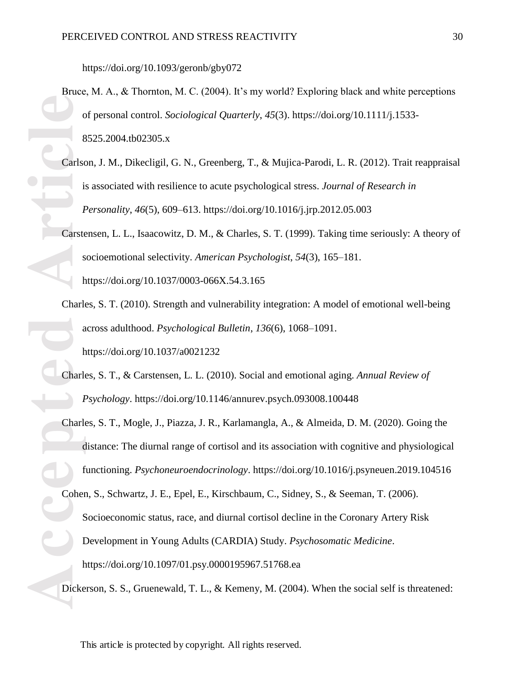https://doi.org/10.1093/geronb/gby072

- Bruce, M. A., & Thornton, M. C. (2004). It's my world? Exploring black and white perceptions of personal control. *Sociological Quarterly*, *45*(3). https://doi.org/10.1111/j.1533- 8525.2004.tb02305.x
- Carlson, J. M., Dikecligil, G. N., Greenberg, T., & Mujica-Parodi, L. R. (2012). Trait reappraisal is associated with resilience to acute psychological stress. *Journal of Research in Personality*, *46*(5), 609–613. https://doi.org/10.1016/j.jrp.2012.05.003

Carstensen, L. L., Isaacowitz, D. M., & Charles, S. T. (1999). Taking time seriously: A theory of socioemotional selectivity. *American Psychologist*, *54*(3), 165–181. https://doi.org/10.1037/0003-066X.54.3.165

- Charles, S. T. (2010). Strength and vulnerability integration: A model of emotional well-being across adulthood. *Psychological Bulletin*, *136*(6), 1068–1091. https://doi.org/10.1037/a0021232
- Charles, S. T., & Carstensen, L. L. (2010). Social and emotional aging. *Annual Review of Psychology*. https://doi.org/10.1146/annurev.psych.093008.100448
- Charles, S. T., Mogle, J., Piazza, J. R., Karlamangla, A., & Almeida, D. M. (2020). Going the distance: The diurnal range of cortisol and its association with cognitive and physiological functioning. *Psychoneuroendocrinology*. https://doi.org/10.1016/j.psyneuen.2019.104516
- Carlsche Carlsche Coher<br> **Accepted Article**<br> **Article**<br> **Article**<br> **Article**<br> **Article**<br> **Article**<br> **Article**<br> **Article**<br> **Article**<br> **Article**<br> **Article**<br> **Article**<br> **Article**<br> **Article** Cohen, S., Schwartz, J. E., Epel, E., Kirschbaum, C., Sidney, S., & Seeman, T. (2006). Socioeconomic status, race, and diurnal cortisol decline in the Coronary Artery Risk Development in Young Adults (CARDIA) Study. *Psychosomatic Medicine*. https://doi.org/10.1097/01.psy.0000195967.51768.ea

Dickerson, S. S., Gruenewald, T. L., & Kemeny, M. (2004). When the social self is threatened: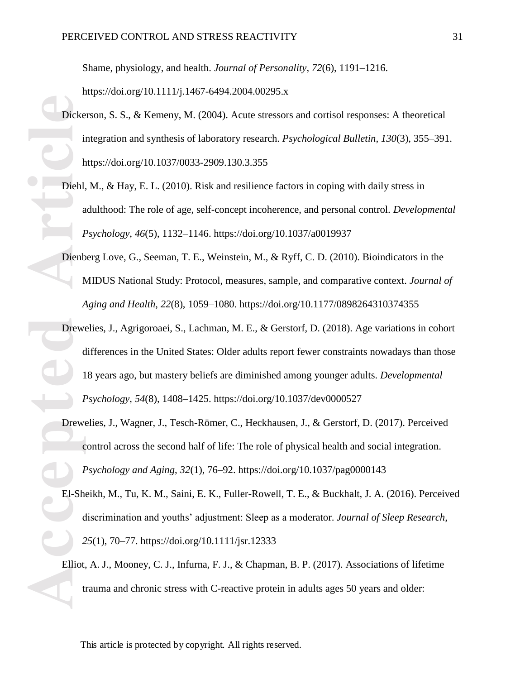Shame, physiology, and health. *Journal of Personality*, *72*(6), 1191–1216. https://doi.org/10.1111/j.1467-6494.2004.00295.x

- Dickerson, S. S., & Kemeny, M. (2004). Acute stressors and cortisol responses: A theoretical integration and synthesis of laboratory research. *Psychological Bulletin*, *130*(3), 355–391. https://doi.org/10.1037/0033-2909.130.3.355
	- Diehl, M., & Hay, E. L. (2010). Risk and resilience factors in coping with daily stress in adulthood: The role of age, self-concept incoherence, and personal control. *Developmental Psychology*, *46*(5), 1132–1146. https://doi.org/10.1037/a0019937
- Dienberg Love, G., Seeman, T. E., Weinstein, M., & Ryff, C. D. (2010). Bioindicators in the MIDUS National Study: Protocol, measures, sample, and comparative context. *Journal of Aging and Health*, *22*(8), 1059–1080. https://doi.org/10.1177/0898264310374355
- Dicke<br>
Dicke<br>
Diehl,<br>
a<br>
Dienb<br>
N<br>
Dienb<br>
N<br> *A*<br>
Dienb<br>
A<br> *A*<br>
Dienb<br>
A<br> *A*<br>
Dienb<br>
A<br> *A*<br>
<br>
A<br>
Dienb<br>
A<br> *A*<br>
<br>
<br>
A<br>
EL-Sh<br>
C<br>
<br>
EL-Sh<br>
C<br>
Eliot,<br>
Eliot,<br>
Eliot,<br>
Eliot,<br>
Eliot,<br>
Eliot,<br>
Eliot,<br>
Eliot,<br>
Eliot,<br>
Eliot, Drewelies, J., Agrigoroaei, S., Lachman, M. E., & Gerstorf, D. (2018). Age variations in cohort differences in the United States: Older adults report fewer constraints nowadays than those 18 years ago, but mastery beliefs are diminished among younger adults. *Developmental Psychology*, *54*(8), 1408–1425. https://doi.org/10.1037/dev0000527
	- Drewelies, J., Wagner, J., Tesch-Römer, C., Heckhausen, J., & Gerstorf, D. (2017). Perceived control across the second half of life: The role of physical health and social integration. *Psychology and Aging*, *32*(1), 76–92. https://doi.org/10.1037/pag0000143
	- El-Sheikh, M., Tu, K. M., Saini, E. K., Fuller-Rowell, T. E., & Buckhalt, J. A. (2016). Perceived discrimination and youths' adjustment: Sleep as a moderator. *Journal of Sleep Research*, *25*(1), 70–77. https://doi.org/10.1111/jsr.12333
	- Elliot, A. J., Mooney, C. J., Infurna, F. J., & Chapman, B. P. (2017). Associations of lifetime trauma and chronic stress with C-reactive protein in adults ages 50 years and older: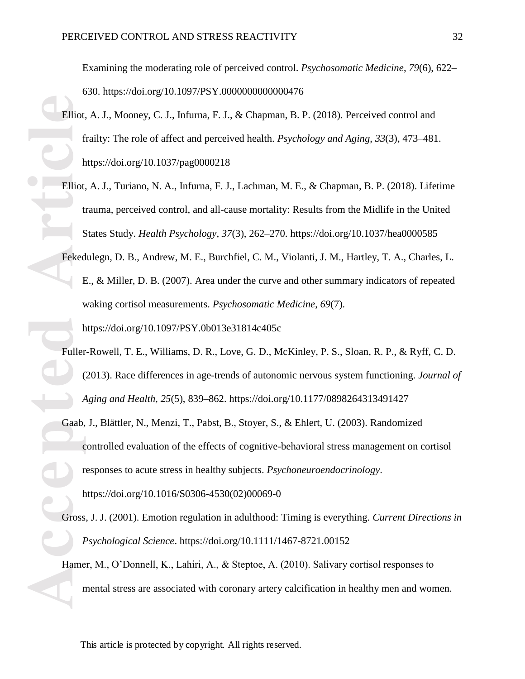Examining the moderating role of perceived control. *Psychosomatic Medicine*, *79*(6), 622– 630. https://doi.org/10.1097/PSY.0000000000000476

- Elliot, A. J., Mooney, C. J., Infurna, F. J., & Chapman, B. P. (2018). Perceived control and frailty: The role of affect and perceived health. *Psychology and Aging*, *33*(3), 473–481. https://doi.org/10.1037/pag0000218
- Elliot, A. J., Turiano, N. A., Infurna, F. J., Lachman, M. E., & Chapman, B. P. (2018). Lifetime trauma, perceived control, and all-cause mortality: Results from the Midlife in the United States Study. *Health Psychology*, *37*(3), 262–270. https://doi.org/10.1037/hea0000585
- Fekedulegn, D. B., Andrew, M. E., Burchfiel, C. M., Violanti, J. M., Hartley, T. A., Charles, L. E., & Miller, D. B. (2007). Area under the curve and other summary indicators of repeated waking cortisol measurements. *Psychosomatic Medicine*, *69*(7). https://doi.org/10.1097/PSY.0b013e31814c405c
- Fuller-Rowell, T. E., Williams, D. R., Love, G. D., McKinley, P. S., Sloan, R. P., & Ryff, C. D. (2013). Race differences in age-trends of autonomic nervous system functioning. *Journal of Aging and Health*, *25*(5), 839–862. https://doi.org/10.1177/0898264313491427
- Elliot, f<br>
Feked<br>
Feked<br>
Feked<br>
Feked<br>
Feked<br>
Feked<br>
Feked<br>
Feked<br>
Feked<br>
Feked<br>
Feked<br>
Feked<br>
Feked<br>
Feked<br>
Feked<br>
Feked<br>
Feked<br>
Feked<br>
Feked<br>
Feked<br>
Feked<br>
Feked<br>
Feked<br>
Feked<br>
Feked<br>
Feked<br>
Feked<br>
Feked<br>
Feked<br>
Feked<br>
F Gaab, J., Blättler, N., Menzi, T., Pabst, B., Stoyer, S., & Ehlert, U. (2003). Randomized controlled evaluation of the effects of cognitive-behavioral stress management on cortisol responses to acute stress in healthy subjects. *Psychoneuroendocrinology*. https://doi.org/10.1016/S0306-4530(02)00069-0
	- Gross, J. J. (2001). Emotion regulation in adulthood: Timing is everything. *Current Directions in Psychological Science*. https://doi.org/10.1111/1467-8721.00152
	- Hamer, M., O'Donnell, K., Lahiri, A., & Steptoe, A. (2010). Salivary cortisol responses to mental stress are associated with coronary artery calcification in healthy men and women.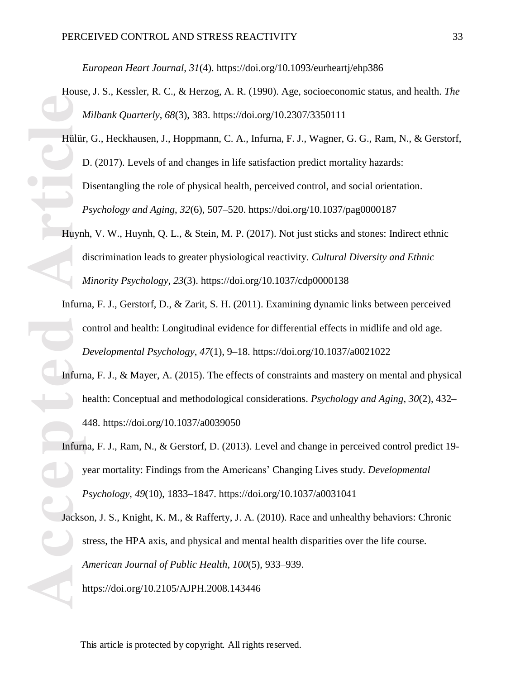*European Heart Journal*, *31*(4). https://doi.org/10.1093/eurheartj/ehp386

- House, J. S., Kessler, R. C., & Herzog, A. R. (1990). Age, socioeconomic status, and health. *The Milbank Quarterly*, *68*(3), 383. https://doi.org/10.2307/3350111
- **Accepted Article**<br> **Article**<br> **Article**<br> **Article**<br> **Article**<br> **Article**<br> **Article**<br> **Article**<br> **Article**<br> **Article**<br> **Article**<br> **Article**<br> **Article**<br> **Article**<br> **Article**<br> **Article** Hülür, G., Heckhausen, J., Hoppmann, C. A., Infurna, F. J., Wagner, G. G., Ram, N., & Gerstorf, D. (2017). Levels of and changes in life satisfaction predict mortality hazards: Disentangling the role of physical health, perceived control, and social orientation. *Psychology and Aging*, *32*(6), 507–520. https://doi.org/10.1037/pag0000187
	- Huynh, V. W., Huynh, Q. L., & Stein, M. P. (2017). Not just sticks and stones: Indirect ethnic discrimination leads to greater physiological reactivity. *Cultural Diversity and Ethnic Minority Psychology*, *23*(3). https://doi.org/10.1037/cdp0000138
	- Infurna, F. J., Gerstorf, D., & Zarit, S. H. (2011). Examining dynamic links between perceived control and health: Longitudinal evidence for differential effects in midlife and old age. *Developmental Psychology*, *47*(1), 9–18. https://doi.org/10.1037/a0021022
	- Infurna, F. J., & Mayer, A. (2015). The effects of constraints and mastery on mental and physical health: Conceptual and methodological considerations. *Psychology and Aging*, *30*(2), 432– 448. https://doi.org/10.1037/a0039050
	- Infurna, F. J., Ram, N., & Gerstorf, D. (2013). Level and change in perceived control predict 19 year mortality: Findings from the Americans' Changing Lives study. *Developmental Psychology*, *49*(10), 1833–1847. https://doi.org/10.1037/a0031041

Jackson, J. S., Knight, K. M., & Rafferty, J. A. (2010). Race and unhealthy behaviors: Chronic stress, the HPA axis, and physical and mental health disparities over the life course. *American Journal of Public Health*, *100*(5), 933–939. https://doi.org/10.2105/AJPH.2008.143446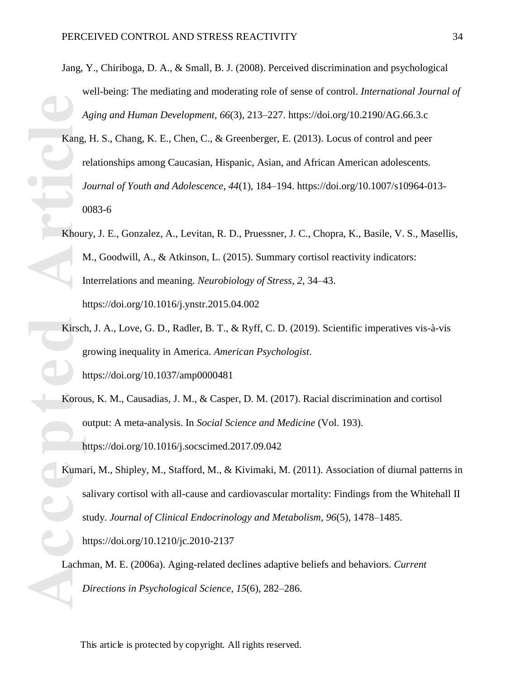- Jang, Y., Chiriboga, D. A., & Small, B. J. (2008). Perceived discrimination and psychological well-being: The mediating and moderating role of sense of control. *International Journal of Aging and Human Development*, *66*(3), 213–227. https://doi.org/10.2190/AG.66.3.c
- **Exang, r**<br> **Accepted Article**<br> **Accepted Article**<br> **Accepted Article**<br> **Article**<br> **Article**<br> **Article**<br> **Article**<br> **Article**<br> **Article**<br> **Article**<br> **Article**<br> **Article**<br> **Article**<br> **Article** Kang, H. S., Chang, K. E., Chen, C., & Greenberger, E. (2013). Locus of control and peer relationships among Caucasian, Hispanic, Asian, and African American adolescents. *Journal of Youth and Adolescence*, *44*(1), 184–194. https://doi.org/10.1007/s10964-013- 0083-6
	- Khoury, J. E., Gonzalez, A., Levitan, R. D., Pruessner, J. C., Chopra, K., Basile, V. S., Masellis, M., Goodwill, A., & Atkinson, L. (2015). Summary cortisol reactivity indicators: Interrelations and meaning. *Neurobiology of Stress*, *2*, 34–43. https://doi.org/10.1016/j.ynstr.2015.04.002
	- Kirsch, J. A., Love, G. D., Radler, B. T., & Ryff, C. D. (2019). Scientific imperatives vis-à-vis growing inequality in America. *American Psychologist*. https://doi.org/10.1037/amp0000481
	- Korous, K. M., Causadias, J. M., & Casper, D. M. (2017). Racial discrimination and cortisol output: A meta-analysis. In *Social Science and Medicine* (Vol. 193). https://doi.org/10.1016/j.socscimed.2017.09.042
	- Kumari, M., Shipley, M., Stafford, M., & Kivimaki, M. (2011). Association of diurnal patterns in salivary cortisol with all-cause and cardiovascular mortality: Findings from the Whitehall II study. *Journal of Clinical Endocrinology and Metabolism*, *96*(5), 1478–1485. https://doi.org/10.1210/jc.2010-2137

Lachman, M. E. (2006a). Aging-related declines adaptive beliefs and behaviors. *Current Directions in Psychological Science*, *15*(6), 282–286.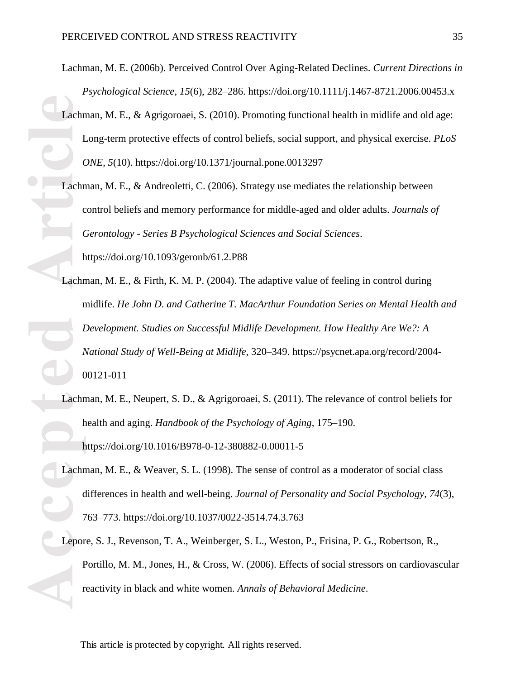- Lachman, M. E. (2006b). Perceived Control Over Aging-Related Declines. *Current Directions in Psychological Science*, *15*(6), 282–286. https://doi.org/10.1111/j.1467-8721.2006.00453.x
- Lachman, M. E., & Agrigoroaei, S. (2010). Promoting functional health in midlife and old age: Long-term protective effects of control beliefs, social support, and physical exercise. *PLoS ONE*, *5*(10). https://doi.org/10.1371/journal.pone.0013297
- Lachman, M. E., & Andreoletti, C. (2006). Strategy use mediates the relationship between control beliefs and memory performance for middle-aged and older adults. *Journals of Gerontology - Series B Psychological Sciences and Social Sciences*. https://doi.org/10.1093/geronb/61.2.P88
- **Exachin**<br> **Accepted**<br> **Article**<br> **Article**<br> **Article**<br> **Article**<br> **Article**<br> **Article**<br> **Article**<br> **Article**<br> **Article**<br> **Article**<br> **Article**<br> **Article**<br> **Article**<br> **Bridge** Lachman, M. E., & Firth, K. M. P. (2004). The adaptive value of feeling in control during midlife. *He John D. and Catherine T. MacArthur Foundation Series on Mental Health and Development. Studies on Successful Midlife Development. How Healthy Are We?: A National Study of Well-Being at Midlife*, 320–349. https://psycnet.apa.org/record/2004- 00121-011
	- Lachman, M. E., Neupert, S. D., & Agrigoroaei, S. (2011). The relevance of control beliefs for health and aging. *Handbook of the Psychology of Aging*, 175–190. https://doi.org/10.1016/B978-0-12-380882-0.00011-5
	- Lachman, M. E., & Weaver, S. L. (1998). The sense of control as a moderator of social class differences in health and well-being. *Journal of Personality and Social Psychology*, *74*(3), 763–773. https://doi.org/10.1037/0022-3514.74.3.763
	- Lepore, S. J., Revenson, T. A., Weinberger, S. L., Weston, P., Frisina, P. G., Robertson, R., Portillo, M. M., Jones, H., & Cross, W. (2006). Effects of social stressors on cardiovascular reactivity in black and white women. *Annals of Behavioral Medicine*.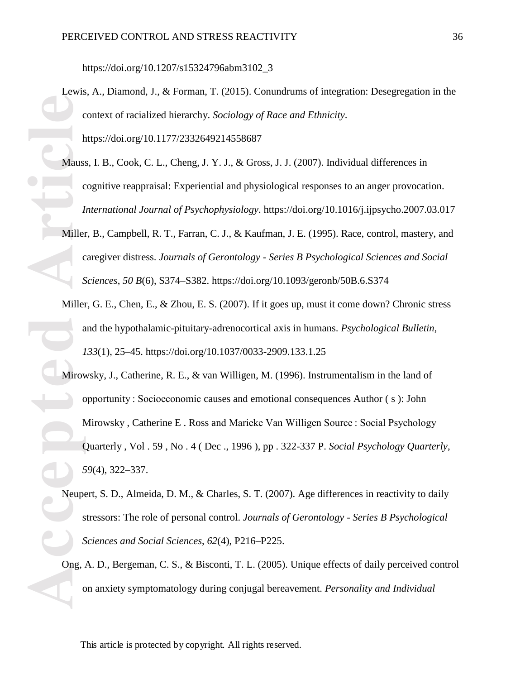https://doi.org/10.1207/s15324796abm3102\_3

Lewis, A., Diamond, J., & Forman, T. (2015). Conundrums of integration: Desegregation in the context of racialized hierarchy. *Sociology of Race and Ethnicity*. https://doi.org/10.1177/2332649214558687

- Mauss, I. B., Cook, C. L., Cheng, J. Y. J., & Gross, J. J. (2007). Individual differences in cognitive reappraisal: Experiential and physiological responses to an anger provocation. *International Journal of Psychophysiology*. https://doi.org/10.1016/j.ijpsycho.2007.03.017
- Miller, B., Campbell, R. T., Farran, C. J., & Kaufman, J. E. (1995). Race, control, mastery, and caregiver distress. *Journals of Gerontology - Series B Psychological Sciences and Social Sciences*, *50 B*(6), S374–S382. https://doi.org/10.1093/geronb/50B.6.S374
- Miller, G. E., Chen, E., & Zhou, E. S. (2007). If it goes up, must it come down? Chronic stress and the hypothalamic-pituitary-adrenocortical axis in humans. *Psychological Bulletin*, *133*(1), 25–45. https://doi.org/10.1037/0033-2909.133.1.25
- **Contained By Contained By Contained By Contained By Contained By Contained By Contained By Contained By Contained By Contained By Contained By Contained By Contained By Contained By Contained By Contained By Contained By** Mirowsky, J., Catherine, R. E., & van Willigen, M. (1996). Instrumentalism in the land of opportunity : Socioeconomic causes and emotional consequences Author ( s ): John Mirowsky , Catherine E . Ross and Marieke Van Willigen Source : Social Psychology Quarterly , Vol . 59 , No . 4 ( Dec ., 1996 ), pp . 322-337 P. *Social Psychology Quarterly*, *59*(4), 322–337.
	- Neupert, S. D., Almeida, D. M., & Charles, S. T. (2007). Age differences in reactivity to daily stressors: The role of personal control. *Journals of Gerontology - Series B Psychological Sciences and Social Sciences*, *62*(4), P216–P225.
	- Ong, A. D., Bergeman, C. S., & Bisconti, T. L. (2005). Unique effects of daily perceived control on anxiety symptomatology during conjugal bereavement. *Personality and Individual*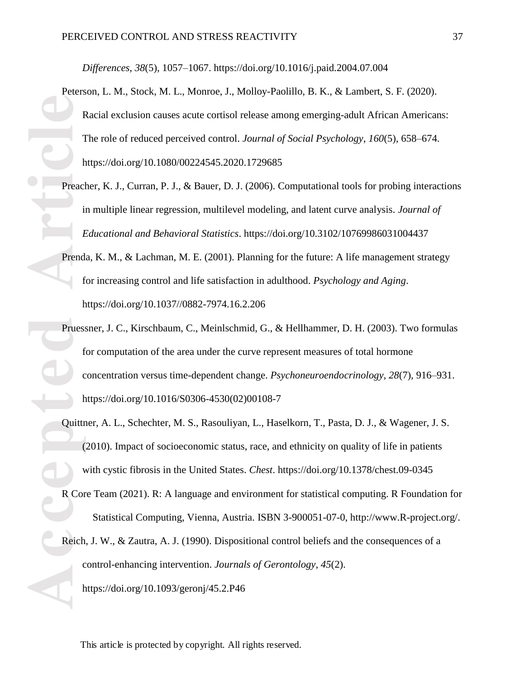*Differences*, *38*(5), 1057–1067. https://doi.org/10.1016/j.paid.2004.07.004

- Peterson, L. M., Stock, M. L., Monroe, J., Molloy-Paolillo, B. K., & Lambert, S. F. (2020). Racial exclusion causes acute cortisol release among emerging-adult African Americans: The role of reduced perceived control. *Journal of Social Psychology*, *160*(5), 658–674. https://doi.org/10.1080/00224545.2020.1729685
- Preacher, K. J., Curran, P. J., & Bauer, D. J. (2006). Computational tools for probing interactions in multiple linear regression, multilevel modeling, and latent curve analysis. *Journal of Educational and Behavioral Statistics*. https://doi.org/10.3102/10769986031004437
- Prenda, K. M., & Lachman, M. E. (2001). Planning for the future: A life management strategy for increasing control and life satisfaction in adulthood. *Psychology and Aging*. https://doi.org/10.1037//0882-7974.16.2.206
- Freed<br>
Freed<br>
Freed<br>
Freed<br>
Freed<br>
Freed<br>
Freed<br>
Freed<br>
Freed<br>
Freed<br>
Freed<br>
Freed<br>
Freed<br>
Freed<br>
Freed<br>
Freed<br>
Freed<br>
Cuittr<br>
Cuittr<br>
Contains Reed<br>
Reed<br>
Reed<br>
Reed<br>
Reed<br>
Reed<br>
Reed<br>
Reed<br>
Reed<br>
Reed<br>
Reed<br>
Reed<br>
Reed<br> Pruessner, J. C., Kirschbaum, C., Meinlschmid, G., & Hellhammer, D. H. (2003). Two formulas for computation of the area under the curve represent measures of total hormone concentration versus time-dependent change. *Psychoneuroendocrinology*, *28*(7), 916–931. https://doi.org/10.1016/S0306-4530(02)00108-7
	- Quittner, A. L., Schechter, M. S., Rasouliyan, L., Haselkorn, T., Pasta, D. J., & Wagener, J. S. (2010). Impact of socioeconomic status, race, and ethnicity on quality of life in patients with cystic fibrosis in the United States. *Chest*. https://doi.org/10.1378/chest.09-0345
	- R Core Team (2021). R: A language and environment for statistical computing. R Foundation for Statistical Computing, Vienna, Austria. ISBN 3-900051-07-0, http://www.R-project.org/.
	- Reich, J. W., & Zautra, A. J. (1990). Dispositional control beliefs and the consequences of a control-enhancing intervention. *Journals of Gerontology*, *45*(2). https://doi.org/10.1093/geronj/45.2.P46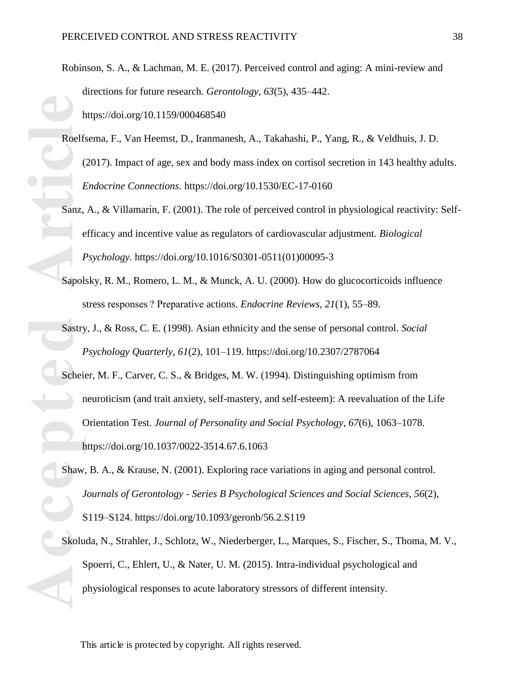- Robinson, S. A., & Lachman, M. E. (2017). Perceived control and aging: A mini-review and directions for future research. *Gerontology*, *63*(5), 435–442. https://doi.org/10.1159/000468540
- Roelfsema, F., Van Heemst, D., Iranmanesh, A., Takahashi, P., Yang, R., & Veldhuis, J. D. (2017). Impact of age, sex and body mass index on cortisol secretion in 143 healthy adults. *Endocrine Connections*. https://doi.org/10.1530/EC-17-0160
- Sanz, A., & Villamarín, F. (2001). The role of perceived control in physiological reactivity: Selfefficacy and incentive value as regulators of cardiovascular adjustment. *Biological Psychology*. https://doi.org/10.1016/S0301-0511(01)00095-3
- Sapolsky, R. M., Romero, L. M., & Munck, A. U. (2000). How do glucocorticoids influence stress responses ? Preparative actions. *Endocrine Reviews*, *21*(1), 55–89.
- Sastry, J., & Ross, C. E. (1998). Asian ethnicity and the sense of personal control. *Social Psychology Quarterly*, *61*(2), 101–119. https://doi.org/10.2307/2787064
- **Accelfs**<br> **Accelfs**<br> **Accelfs**<br> **Accelfs**<br> **Accelfs**<br> **Accelfs**<br> **Accelfs**<br> **Accelfs**<br> **Accelfs**<br> **Accelfs**<br> **Accelfs**<br> **Accelfs**<br> **Accelfs**<br> **Accelfs**<br> **Accelfs**<br> **Accelfs**<br> **Accelfs**<br> **Accelfs**<br> **Accelfs**<br> **Accelfs**<br> **A** Scheier, M. F., Carver, C. S., & Bridges, M. W. (1994). Distinguishing optimism from neuroticism (and trait anxiety, self-mastery, and self-esteem): A reevaluation of the Life Orientation Test. *Journal of Personality and Social Psychology*, *67*(6), 1063–1078. https://doi.org/10.1037/0022-3514.67.6.1063
	- Shaw, B. A., & Krause, N. (2001). Exploring race variations in aging and personal control. *Journals of Gerontology - Series B Psychological Sciences and Social Sciences*, *56*(2), S119–S124. https://doi.org/10.1093/geronb/56.2.S119
	- Skoluda, N., Strahler, J., Schlotz, W., Niederberger, L., Marques, S., Fischer, S., Thoma, M. V., Spoerri, C., Ehlert, U., & Nater, U. M. (2015). Intra-individual psychological and physiological responses to acute laboratory stressors of different intensity.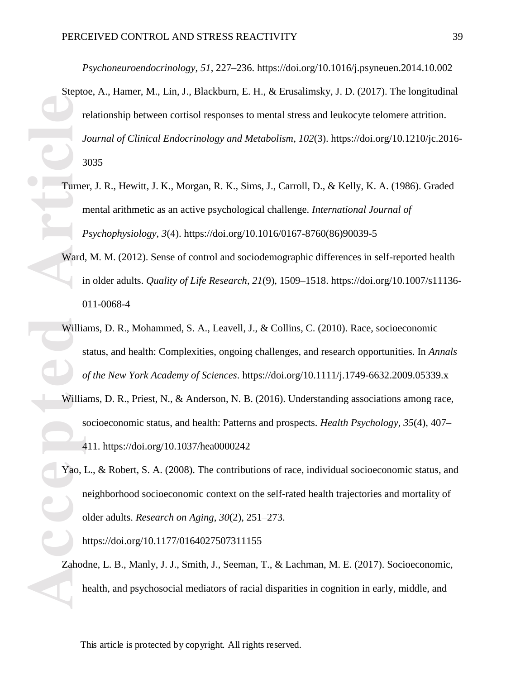*Psychoneuroendocrinology*, *51*, 227–236. https://doi.org/10.1016/j.psyneuen.2014.10.002

- **Property** of the contract of the contract of the contract of the contract of the contract of the contract of the contract of the contract of the contract of the contract of the contract of the contract of the contract of Steptoe, A., Hamer, M., Lin, J., Blackburn, E. H., & Erusalimsky, J. D. (2017). The longitudinal relationship between cortisol responses to mental stress and leukocyte telomere attrition. *Journal of Clinical Endocrinology and Metabolism*, *102*(3). https://doi.org/10.1210/jc.2016- 3035
	- Turner, J. R., Hewitt, J. K., Morgan, R. K., Sims, J., Carroll, D., & Kelly, K. A. (1986). Graded mental arithmetic as an active psychological challenge. *International Journal of Psychophysiology*, *3*(4). https://doi.org/10.1016/0167-8760(86)90039-5
	- Ward, M. M. (2012). Sense of control and sociodemographic differences in self-reported health in older adults. *Quality of Life Research*, *21*(9), 1509–1518. https://doi.org/10.1007/s11136- 011-0068-4
	- Williams, D. R., Mohammed, S. A., Leavell, J., & Collins, C. (2010). Race, socioeconomic status, and health: Complexities, ongoing challenges, and research opportunities. In *Annals of the New York Academy of Sciences*. https://doi.org/10.1111/j.1749-6632.2009.05339.x
	- Williams, D. R., Priest, N., & Anderson, N. B. (2016). Understanding associations among race, socioeconomic status, and health: Patterns and prospects. *Health Psychology*, *35*(4), 407– 411. https://doi.org/10.1037/hea0000242
	- Yao, L., & Robert, S. A. (2008). The contributions of race, individual socioeconomic status, and neighborhood socioeconomic context on the self-rated health trajectories and mortality of older adults. *Research on Aging*, *30*(2), 251–273.

https://doi.org/10.1177/0164027507311155

Zahodne, L. B., Manly, J. J., Smith, J., Seeman, T., & Lachman, M. E. (2017). Socioeconomic, health, and psychosocial mediators of racial disparities in cognition in early, middle, and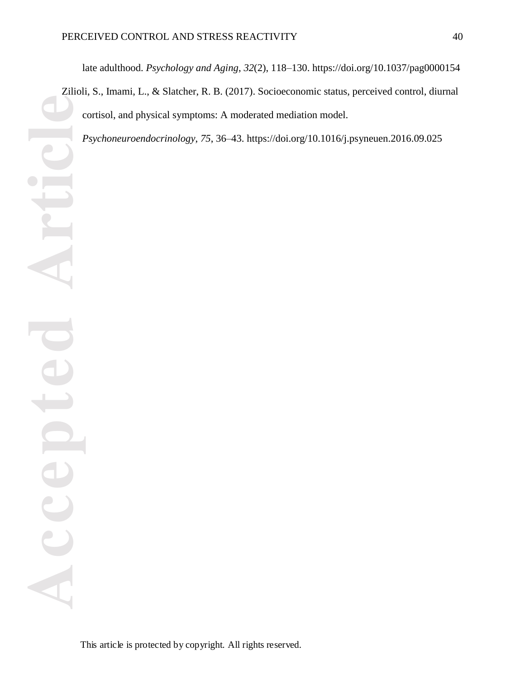late adulthood. *Psychology and Aging*, *32*(2), 118–130. https://doi.org/10.1037/pag0000154

Zilioli, S., Imami, L., & Slatcher, R. B. (2017). Socioeconomic status, perceived control, diurnal cortisol, and physical symptoms: A moderated mediation model.

*Psychoneuroendocrinology*, *75*, 36–43. https://doi.org/10.1016/j.psyneuen.2016.09.025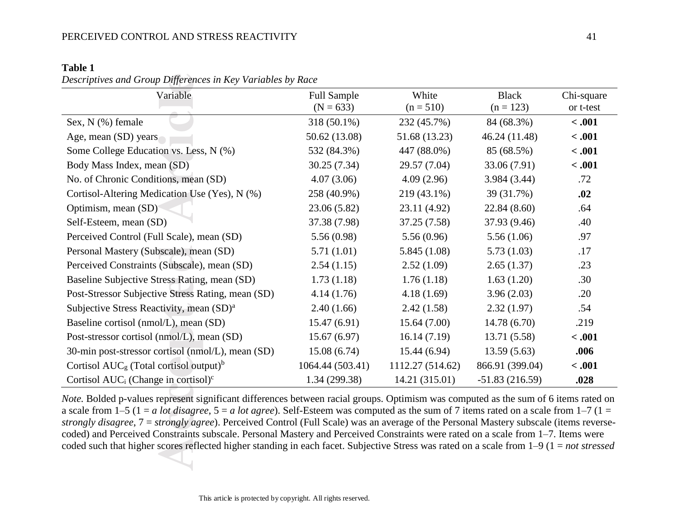## **Table 1**

*Descriptives and Group Differences in Key Variables by Race* 

| Variable                                                    | <b>Full Sample</b><br>$(N = 633)$ | White<br>$(n = 510)$ | <b>Black</b><br>$(n = 123)$ | Chi-square<br>or t-test |
|-------------------------------------------------------------|-----------------------------------|----------------------|-----------------------------|-------------------------|
| Sex, N (%) female                                           | 318 (50.1%)                       | 232 (45.7%)          | 84 (68.3%)                  | $-.001$                 |
| Age, mean (SD) years                                        | 50.62 (13.08)                     | 51.68 (13.23)        | 46.24 (11.48)               | $-.001$                 |
| Some College Education vs. Less, N (%)                      | 532 (84.3%)                       | 447 (88.0%)          | 85 (68.5%)                  | $-.001$                 |
| Body Mass Index, mean (SD)                                  | 30.25(7.34)                       | 29.57 (7.04)         | 33.06 (7.91)                | < .001                  |
| No. of Chronic Conditions, mean (SD)                        | 4.07(3.06)                        | 4.09(2.96)           | 3.984 (3.44)                | .72                     |
| Cortisol-Altering Medication Use (Yes), N (%)               | 258 (40.9%)                       | 219 (43.1%)          | 39 (31.7%)                  | .02                     |
| Optimism, mean (SD)                                         | 23.06 (5.82)                      | 23.11 (4.92)         | 22.84 (8.60)                | .64                     |
| Self-Esteem, mean (SD)                                      | 37.38 (7.98)                      | 37.25 (7.58)         | 37.93 (9.46)                | .40                     |
| Perceived Control (Full Scale), mean (SD)                   | 5.56(0.98)                        | 5.56(0.96)           | 5.56(1.06)                  | .97                     |
| Personal Mastery (Subscale), mean (SD)                      | 5.71(1.01)                        | 5.845(1.08)          | 5.73(1.03)                  | .17                     |
| Perceived Constraints (Subscale), mean (SD)                 | 2.54(1.15)                        | 2.52(1.09)           | 2.65(1.37)                  | .23                     |
| Baseline Subjective Stress Rating, mean (SD)                | 1.73(1.18)                        | 1.76(1.18)           | 1.63(1.20)                  | .30                     |
| Post-Stressor Subjective Stress Rating, mean (SD)           | 4.14(1.76)                        | 4.18(1.69)           | 3.96(2.03)                  | .20                     |
| Subjective Stress Reactivity, mean (SD) <sup>a</sup>        | 2.40(1.66)                        | 2.42(1.58)           | 2.32(1.97)                  | .54                     |
| Baseline cortisol (nmol/L), mean (SD)                       | 15.47(6.91)                       | 15.64(7.00)          | 14.78 (6.70)                | .219                    |
| Post-stressor cortisol (nmol/L), mean (SD)                  | 15.67(6.97)                       | 16.14(7.19)          | 13.71 (5.58)                | < .001                  |
| 30-min post-stressor cortisol (nmol/L), mean (SD)           | 15.08(6.74)                       | 15.44(6.94)          | 13.59(5.63)                 | .006                    |
| Cortisol $AUC_g$ (Total cortisol output) <sup>b</sup>       | 1064.44 (503.41)                  | 1112.27 (514.62)     | 866.91 (399.04)             | < .001                  |
| Cortisol AUC <sub>i</sub> (Change in cortisol) <sup>c</sup> | 1.34 (299.38)                     | 14.21 (315.01)       | $-51.83(216.59)$            | .028                    |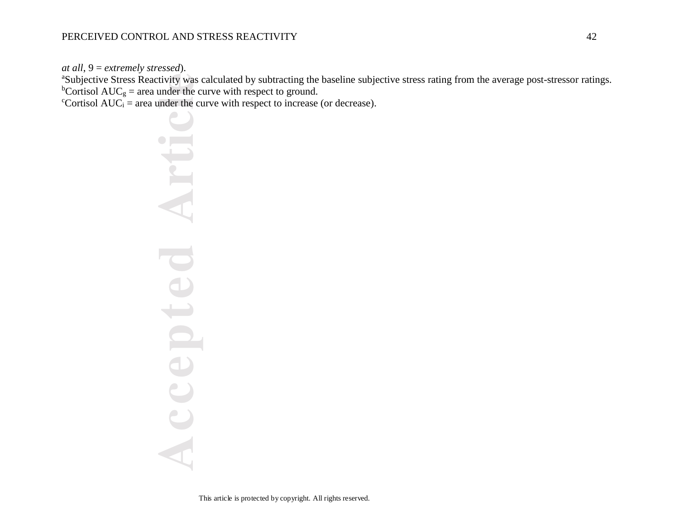*at all*, 9 = *extremely stressed*).

<sup>a</sup>Subjective Stress Reactivity was calculated by subtracting the baseline subjective stress rating from the average post-stressor ratings. <sup>b</sup>Cortisol AUC<sub>g</sub> = area under the curve with respect to ground.

 $c$ <sup>c</sup>Cortisol AUC<sub>i</sub> = area under the curve with respect to increase (or decrease).

tivity was contributed the controller the controller the controller of the controller the controller the controller the controller of the controller the controller that controller the controller of the controller the contr Art pted  $\bigcup$ AC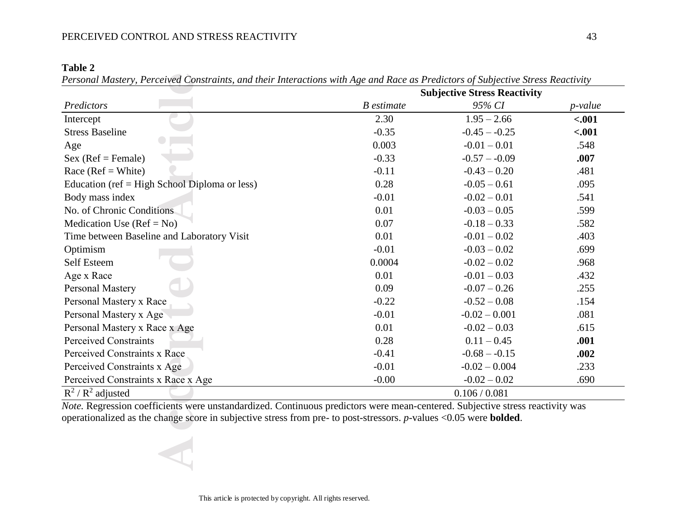## PERCEIVED CONTROL AND STRESS REACTIVITY 43

| m<br>Ш<br> |  |
|------------|--|
|------------|--|

*Personal Mastery, Perceived Constraints, and their Interactions with Age and Race as Predictors of Subjective Stress Reactivity*

|                                                                                                                                                                                                                                                                  | <b>Subjective Stress Reactivity</b> |                 |         |  |  |  |
|------------------------------------------------------------------------------------------------------------------------------------------------------------------------------------------------------------------------------------------------------------------|-------------------------------------|-----------------|---------|--|--|--|
| Predictors                                                                                                                                                                                                                                                       | <b>B</b> estimate                   | 95% CI          | p-value |  |  |  |
| Intercept                                                                                                                                                                                                                                                        | 2.30                                | $1.95 - 2.66$   | $-.001$ |  |  |  |
| <b>Stress Baseline</b>                                                                                                                                                                                                                                           | $-0.35$                             | $-0.45 - 0.25$  | $-.001$ |  |  |  |
| Age                                                                                                                                                                                                                                                              | 0.003                               | $-0.01 - 0.01$  | .548    |  |  |  |
| $Sex (Ref = Female)$                                                                                                                                                                                                                                             | $-0.33$                             | $-0.57 - -0.09$ | .007    |  |  |  |
| Race ( $Ref = White$ )                                                                                                                                                                                                                                           | $-0.11$                             | $-0.43 - 0.20$  | .481    |  |  |  |
| Education ( $ref = High School Diploma$ or less)                                                                                                                                                                                                                 | 0.28                                | $-0.05 - 0.61$  | .095    |  |  |  |
| Body mass index                                                                                                                                                                                                                                                  | $-0.01$                             | $-0.02 - 0.01$  | .541    |  |  |  |
| No. of Chronic Conditions                                                                                                                                                                                                                                        | 0.01                                | $-0.03 - 0.05$  | .599    |  |  |  |
| Medication Use $(Ref = No)$                                                                                                                                                                                                                                      | 0.07                                | $-0.18 - 0.33$  | .582    |  |  |  |
| Time between Baseline and Laboratory Visit                                                                                                                                                                                                                       | 0.01                                | $-0.01 - 0.02$  | .403    |  |  |  |
| Optimism                                                                                                                                                                                                                                                         | $-0.01$                             | $-0.03 - 0.02$  | .699    |  |  |  |
| <b>Self Esteem</b>                                                                                                                                                                                                                                               | 0.0004                              | $-0.02 - 0.02$  | .968    |  |  |  |
| Age x Race                                                                                                                                                                                                                                                       | 0.01                                | $-0.01 - 0.03$  | .432    |  |  |  |
| Personal Mastery                                                                                                                                                                                                                                                 | 0.09                                | $-0.07 - 0.26$  | .255    |  |  |  |
| Personal Mastery x Race                                                                                                                                                                                                                                          | $-0.22$                             | $-0.52 - 0.08$  | .154    |  |  |  |
| Personal Mastery x Age                                                                                                                                                                                                                                           | $-0.01$                             | $-0.02 - 0.001$ | .081    |  |  |  |
| Personal Mastery x Race x Age                                                                                                                                                                                                                                    | 0.01                                | $-0.02 - 0.03$  | .615    |  |  |  |
| <b>Perceived Constraints</b>                                                                                                                                                                                                                                     | 0.28                                | $0.11 - 0.45$   | .001    |  |  |  |
| Perceived Constraints x Race                                                                                                                                                                                                                                     | $-0.41$                             | $-0.68 - -0.15$ | .002    |  |  |  |
| Perceived Constraints x Age                                                                                                                                                                                                                                      | $-0.01$                             | $-0.02 - 0.004$ | .233    |  |  |  |
| Perceived Constraints x Race x Age                                                                                                                                                                                                                               | $-0.00$                             | $-0.02 - 0.02$  | .690    |  |  |  |
| $R^2/R^2$ adjusted                                                                                                                                                                                                                                               |                                     | 0.106 / 0.081   |         |  |  |  |
| Note. Regression coefficients were unstandardized. Continuous predictors were mean-centered. Subjective stress reactivity was<br>operationalized as the change score in subjective stress from pre- to post-stressors. $p$ -values < $0.05$ were <b>bolded</b> . |                                     |                 |         |  |  |  |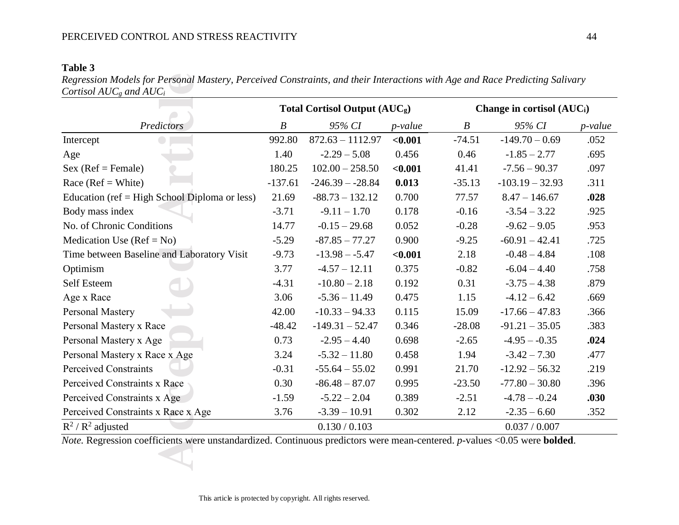## **Table 3**

|                                                 |                  | <b>Total Cortisol Output (AUCg)</b> |                 | Change in cortisol (AUC <sub>i</sub> ) |                   |         |  |
|-------------------------------------------------|------------------|-------------------------------------|-----------------|----------------------------------------|-------------------|---------|--|
| Predictors                                      | $\boldsymbol{B}$ | 95% CI                              | <i>p</i> -value | $\boldsymbol{B}$                       | 95% CI            | p-value |  |
| Intercept                                       | 992.80           | $872.63 - 1112.97$                  | < 0.001         | $-74.51$                               | $-149.70 - 0.69$  | .052    |  |
| Age                                             | 1.40             | $-2.29 - 5.08$                      | 0.456           | 0.46                                   | $-1.85 - 2.77$    | .695    |  |
| $Sex (Ref = Female)$                            | 180.25           | $102.00 - 258.50$                   | < 0.001         | 41.41                                  | $-7.56 - 90.37$   | .097    |  |
| Race ( $Ref = White$ )                          | $-137.61$        | $-246.39 - -28.84$                  | 0.013           | $-35.13$                               | $-103.19 - 32.93$ | .311    |  |
| Education (ref $=$ High School Diploma or less) | 21.69            | $-88.73 - 132.12$                   | 0.700           | 77.57                                  | $8.47 - 146.67$   | .028    |  |
| Body mass index                                 | $-3.71$          | $-9.11 - 1.70$                      | 0.178           | $-0.16$                                | $-3.54 - 3.22$    | .925    |  |
| No. of Chronic Conditions                       | 14.77            | $-0.15 - 29.68$                     | 0.052           | $-0.28$                                | $-9.62 - 9.05$    | .953    |  |
| Medication Use $(Ref = No)$                     | $-5.29$          | $-87.85 - 77.27$                    | 0.900           | $-9.25$                                | $-60.91 - 42.41$  | .725    |  |
| Time between Baseline and Laboratory Visit      | $-9.73$          | $-13.98 - -5.47$                    | < 0.001         | 2.18                                   | $-0.48 - 4.84$    | .108    |  |
| Optimism                                        | 3.77             | $-4.57 - 12.11$                     | 0.375           | $-0.82$                                | $-6.04 - 4.40$    | .758    |  |
| Self Esteem                                     | $-4.31$          | $-10.80 - 2.18$                     | 0.192           | 0.31                                   | $-3.75 - 4.38$    | .879    |  |
| Age x Race                                      | 3.06             | $-5.36 - 11.49$                     | 0.475           | 1.15                                   | $-4.12 - 6.42$    | .669    |  |
| Personal Mastery                                | 42.00            | $-10.33 - 94.33$                    | 0.115           | 15.09                                  | $-17.66 - 47.83$  | .366    |  |
| Personal Mastery x Race                         | $-48.42$         | $-149.31 - 52.47$                   | 0.346           | $-28.08$                               | $-91.21 - 35.05$  | .383    |  |
| Personal Mastery x Age                          | 0.73             | $-2.95 - 4.40$                      | 0.698           | $-2.65$                                | $-4.95 - -0.35$   | .024    |  |
| Personal Mastery x Race x Age                   | 3.24             | $-5.32 - 11.80$                     | 0.458           | 1.94                                   | $-3.42 - 7.30$    | .477    |  |
| <b>Perceived Constraints</b>                    | $-0.31$          | $-55.64 - 55.02$                    | 0.991           | 21.70                                  | $-12.92 - 56.32$  | .219    |  |
| Perceived Constraints x Race                    | 0.30             | $-86.48 - 87.07$                    | 0.995           | $-23.50$                               | $-77.80 - 30.80$  | .396    |  |
| Perceived Constraints x Age                     | $-1.59$          | $-5.22 - 2.04$                      | 0.389           | $-2.51$                                | $-4.78 - -0.24$   | .030    |  |
| Perceived Constraints x Race x Age              | 3.76             | $-3.39 - 10.91$                     | 0.302           | 2.12                                   | $-2.35 - 6.60$    | .352    |  |
| $R^2/R^2$ adjusted                              |                  | 0.130 / 0.103                       |                 |                                        | 0.037 / 0.007     |         |  |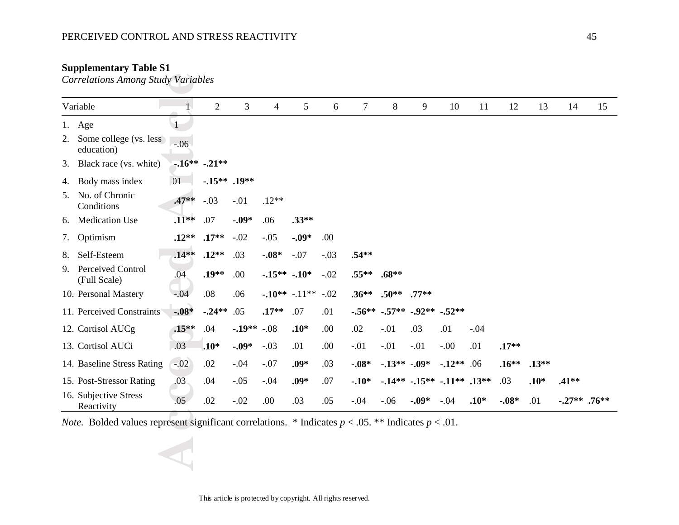## PERCEIVED CONTROL AND STRESS REACTIVITY 45

## **Supplementary Table S1**

| $\mathbf{1}$<br>1. Age<br>Some college (vs. less<br>$-.06$<br>education)<br>$-16***$ $-21**$<br>01<br>$-0.15***$ .19**<br>Body mass index<br>$-.03$<br>$.47**$<br>$-.01$<br>$.12**$<br>Conditions<br>$-.09*$<br>$.33**$<br><b>Medication Use</b><br>$.11**$<br>.07<br>.06<br>$-.02$<br>$-.05$<br>.00<br>$.17**$<br>$-.09*$<br>Optimism<br>$.12**$<br>Self-Esteem<br>$.14**$<br>$.12**$<br>$-.07$<br>.03<br>$-.08*$<br>$-.03$<br>$.54**$<br>$.19**$<br>.04<br>.00.<br>$-15**$<br>$-.10*$<br>$-.02$<br>$.55**$<br>$.68**$<br>(Full Scale)<br>.08<br>.06<br>$-.10**$<br>$-.11**-.02$<br>$.36**$<br>$.50**$<br>$.77**$<br>$-.04$<br>$-.08*$<br>$-.24**$<br>.05<br>.07<br>.01<br>$-.56**$<br>$-.57**-.92**-.52**$<br>$.17**$<br>$.10*$<br>$.15**$<br>.04<br>$-19**$<br>$-.08$<br>.00<br>.02<br>$-.01$<br>.03<br>.01<br>$-.04$<br>.03<br>$.10*$<br>$-.09*$<br>$-.03$<br>.01<br>.00.<br>$-.01$<br>$-.01$<br>$-.01$<br>$-0.00$<br>.01<br>$.17**$<br>$-.07$<br>.03<br>$-.13***-.09*$<br>$-.02$<br>.02<br>$-.04$<br>$.09*$<br>$-.08*$<br>$-12**$ .06<br>$.13**$<br>$.16***$<br>.03<br>.03<br>$-.05$<br>$.09*$<br>.07<br>$.10*$<br>.04<br>$-.04$<br>$-.10*$<br>$-14** -15** -11**$ .13**<br>$.41**$<br>.05<br>.02<br>.00.<br>$-.06$<br>.01<br>$-0.09*$<br>$-.04$<br>$.10*$<br>$-.27**$ .76** | Variable   | $\mathbf{1}$ | $\overline{2}$ | $\overline{3}$ | $\overline{4}$ | 5   | 6   | $\tau$ | $\, 8$ | 9 | 10 | 11 | 12      | 13 | 14 | 15 |
|-----------------------------------------------------------------------------------------------------------------------------------------------------------------------------------------------------------------------------------------------------------------------------------------------------------------------------------------------------------------------------------------------------------------------------------------------------------------------------------------------------------------------------------------------------------------------------------------------------------------------------------------------------------------------------------------------------------------------------------------------------------------------------------------------------------------------------------------------------------------------------------------------------------------------------------------------------------------------------------------------------------------------------------------------------------------------------------------------------------------------------------------------------------------------------------------------------------------------------------------------------------------------------------|------------|--------------|----------------|----------------|----------------|-----|-----|--------|--------|---|----|----|---------|----|----|----|
| 2.<br>3. Black race (vs. white)<br>4.<br>5. No. of Chronic<br>6.<br>10. Personal Mastery<br>11. Perceived Constraints<br>12. Cortisol AUCg<br>14. Baseline Stress Rating<br>15. Post-Stressor Rating<br>16. Subjective Stress                                                                                                                                                                                                                                                                                                                                                                                                                                                                                                                                                                                                                                                                                                                                                                                                                                                                                                                                                                                                                                                     |            |              |                |                |                |     |     |        |        |   |    |    |         |    |    |    |
|                                                                                                                                                                                                                                                                                                                                                                                                                                                                                                                                                                                                                                                                                                                                                                                                                                                                                                                                                                                                                                                                                                                                                                                                                                                                                   |            |              |                |                |                |     |     |        |        |   |    |    |         |    |    |    |
|                                                                                                                                                                                                                                                                                                                                                                                                                                                                                                                                                                                                                                                                                                                                                                                                                                                                                                                                                                                                                                                                                                                                                                                                                                                                                   |            |              |                |                |                |     |     |        |        |   |    |    |         |    |    |    |
|                                                                                                                                                                                                                                                                                                                                                                                                                                                                                                                                                                                                                                                                                                                                                                                                                                                                                                                                                                                                                                                                                                                                                                                                                                                                                   |            |              |                |                |                |     |     |        |        |   |    |    |         |    |    |    |
|                                                                                                                                                                                                                                                                                                                                                                                                                                                                                                                                                                                                                                                                                                                                                                                                                                                                                                                                                                                                                                                                                                                                                                                                                                                                                   |            |              |                |                |                |     |     |        |        |   |    |    |         |    |    |    |
| 7.                                                                                                                                                                                                                                                                                                                                                                                                                                                                                                                                                                                                                                                                                                                                                                                                                                                                                                                                                                                                                                                                                                                                                                                                                                                                                |            |              |                |                |                |     |     |        |        |   |    |    |         |    |    |    |
| 8.<br>9. Perceived Control<br>13. Cortisol AUCi                                                                                                                                                                                                                                                                                                                                                                                                                                                                                                                                                                                                                                                                                                                                                                                                                                                                                                                                                                                                                                                                                                                                                                                                                                   |            |              |                |                |                |     |     |        |        |   |    |    |         |    |    |    |
|                                                                                                                                                                                                                                                                                                                                                                                                                                                                                                                                                                                                                                                                                                                                                                                                                                                                                                                                                                                                                                                                                                                                                                                                                                                                                   |            |              |                |                |                |     |     |        |        |   |    |    |         |    |    |    |
|                                                                                                                                                                                                                                                                                                                                                                                                                                                                                                                                                                                                                                                                                                                                                                                                                                                                                                                                                                                                                                                                                                                                                                                                                                                                                   |            |              |                |                |                |     |     |        |        |   |    |    |         |    |    |    |
|                                                                                                                                                                                                                                                                                                                                                                                                                                                                                                                                                                                                                                                                                                                                                                                                                                                                                                                                                                                                                                                                                                                                                                                                                                                                                   |            |              |                |                |                |     |     |        |        |   |    |    |         |    |    |    |
|                                                                                                                                                                                                                                                                                                                                                                                                                                                                                                                                                                                                                                                                                                                                                                                                                                                                                                                                                                                                                                                                                                                                                                                                                                                                                   |            |              |                |                |                |     |     |        |        |   |    |    |         |    |    |    |
|                                                                                                                                                                                                                                                                                                                                                                                                                                                                                                                                                                                                                                                                                                                                                                                                                                                                                                                                                                                                                                                                                                                                                                                                                                                                                   |            |              |                |                |                |     |     |        |        |   |    |    |         |    |    |    |
|                                                                                                                                                                                                                                                                                                                                                                                                                                                                                                                                                                                                                                                                                                                                                                                                                                                                                                                                                                                                                                                                                                                                                                                                                                                                                   |            |              |                |                |                |     |     |        |        |   |    |    |         |    |    |    |
|                                                                                                                                                                                                                                                                                                                                                                                                                                                                                                                                                                                                                                                                                                                                                                                                                                                                                                                                                                                                                                                                                                                                                                                                                                                                                   |            |              |                |                |                |     |     |        |        |   |    |    |         |    |    |    |
|                                                                                                                                                                                                                                                                                                                                                                                                                                                                                                                                                                                                                                                                                                                                                                                                                                                                                                                                                                                                                                                                                                                                                                                                                                                                                   |            |              |                |                |                |     |     |        |        |   |    |    |         |    |    |    |
|                                                                                                                                                                                                                                                                                                                                                                                                                                                                                                                                                                                                                                                                                                                                                                                                                                                                                                                                                                                                                                                                                                                                                                                                                                                                                   | Reactivity |              |                | $-.02$         |                | .03 | .05 | $-.04$ |        |   |    |    | $-.08*$ |    |    |    |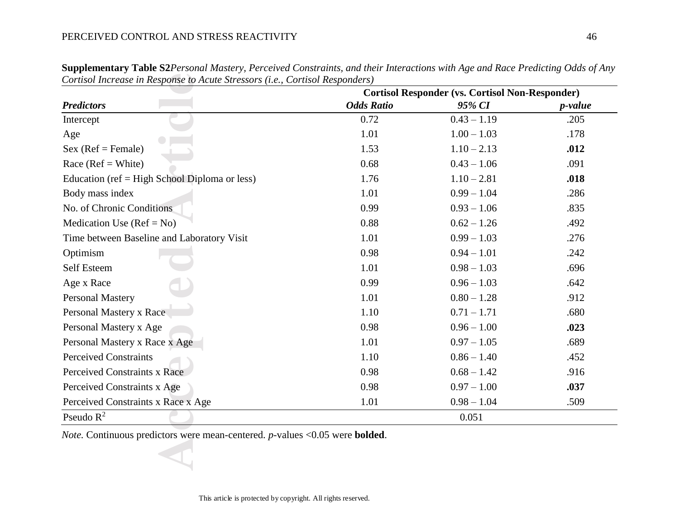|                                               | <b>Cortisol Responder (vs. Cortisol Non-Responder)</b> |               |                 |  |  |  |
|-----------------------------------------------|--------------------------------------------------------|---------------|-----------------|--|--|--|
| <b>Predictors</b>                             | <b>Odds Ratio</b>                                      | 95% CI        | <i>p</i> -value |  |  |  |
| Intercept                                     | 0.72                                                   | $0.43 - 1.19$ | .205            |  |  |  |
| Age                                           | 1.01                                                   | $1.00 - 1.03$ | .178            |  |  |  |
| $Sex (Ref = Female)$                          | 1.53                                                   | $1.10 - 2.13$ | .012            |  |  |  |
| Race ( $Ref = White$ )                        | 0.68                                                   | $0.43 - 1.06$ | .091            |  |  |  |
| Education (ref = High School Diploma or less) | 1.76                                                   | $1.10 - 2.81$ | .018            |  |  |  |
| Body mass index                               | 1.01                                                   | $0.99 - 1.04$ | .286            |  |  |  |
| No. of Chronic Conditions                     | 0.99                                                   | $0.93 - 1.06$ | .835            |  |  |  |
| Medication Use $(Ref = No)$                   | 0.88                                                   | $0.62 - 1.26$ | .492            |  |  |  |
| Time between Baseline and Laboratory Visit    | 1.01                                                   | $0.99 - 1.03$ | .276            |  |  |  |
| Optimism                                      | 0.98                                                   | $0.94 - 1.01$ | .242            |  |  |  |
| Self Esteem                                   | 1.01                                                   | $0.98 - 1.03$ | .696            |  |  |  |
| Age x Race                                    | 0.99                                                   | $0.96 - 1.03$ | .642            |  |  |  |
| <b>Personal Mastery</b>                       | 1.01                                                   | $0.80 - 1.28$ | .912            |  |  |  |
| Personal Mastery x Race                       | 1.10                                                   | $0.71 - 1.71$ | .680            |  |  |  |
| Personal Mastery x Age                        | 0.98                                                   | $0.96 - 1.00$ | .023            |  |  |  |
| Personal Mastery x Race x Age                 | 1.01                                                   | $0.97 - 1.05$ | .689            |  |  |  |
| <b>Perceived Constraints</b>                  | 1.10                                                   | $0.86 - 1.40$ | .452            |  |  |  |
| Perceived Constraints x Race                  | 0.98                                                   | $0.68 - 1.42$ | .916            |  |  |  |
| Perceived Constraints x Age                   | 0.98                                                   | $0.97 - 1.00$ | .037            |  |  |  |
| Perceived Constraints x Race x Age            | 1.01                                                   | $0.98 - 1.04$ | .509            |  |  |  |
| Pseudo $R^2$                                  |                                                        | 0.051         |                 |  |  |  |

**Supplementary Table S2***Personal Mastery, Perceived Constraints, and their Interactions with Age and Race Predicting Odds of Any Cortisol Increase in Response to Acute Stressors (i.e., Cortisol Responders)*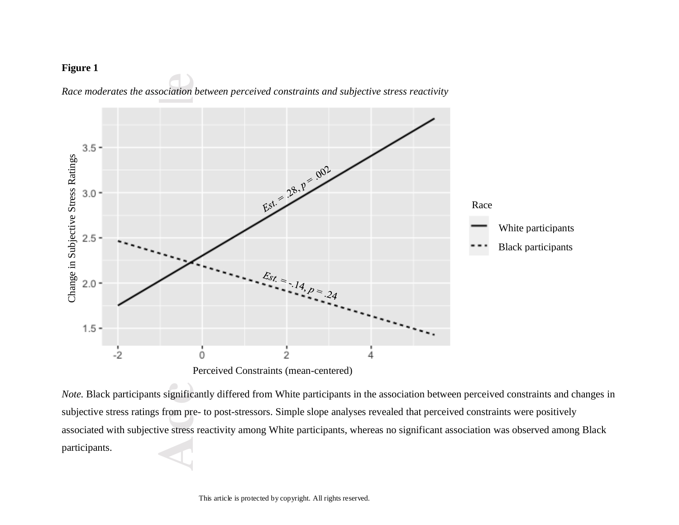# **Figure 1**



*Race moderates the association between perceived constraints and subjective stress reactivity*

*Note.* Black participants significantly differed from White participants in the association between perceived constraints and changes in subjective stress ratings from pre- to post-stressors. Simple slope analyses revealed that perceived constraints were positively associated with subjective stress reactivity among White participants, whereas no significant association was observed among Black participants.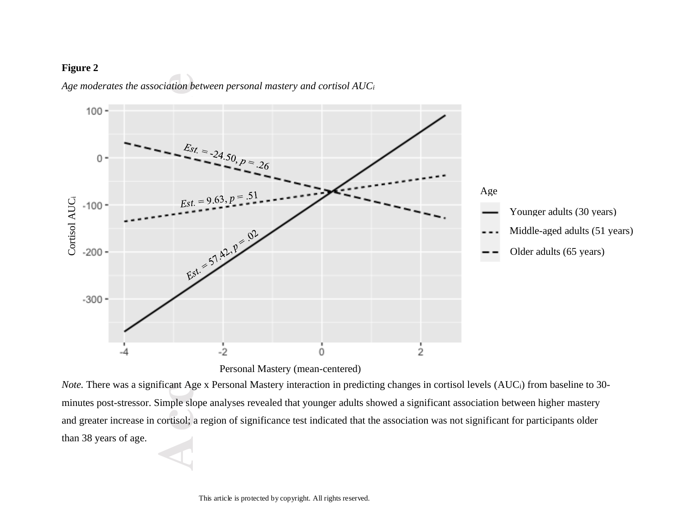# **Figure 2**



*Age moderates the association between personal mastery and cortisol AUC<sup>i</sup>*

Personal Mastery (mean-centered)

*Note.* There was a significant Age x Personal Mastery interaction in predicting changes in cortisol levels (AUCi) from baseline to 30 minutes post-stressor. Simple slope analyses revealed that younger adults showed a significant association between higher mastery and greater increase in cortisol; a region of significance test indicated that the association was not significant for participants older than 38 years of age.